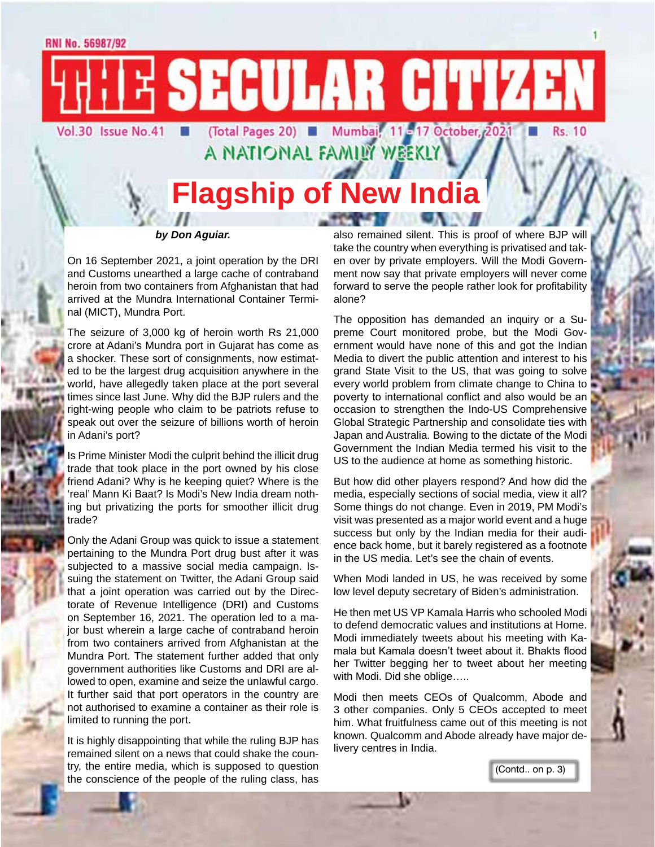E SECULAR CITIZEN Vol.30 Issue No.41

# **FI** (Total Pages 20) **FI** Mumbail, 11-17 October, 2021 **FI** Rs. 10<br>A NATIONAL FAMILY WEEKLY<br>**Flagship of New India CONTRACTOR** CONTRACTOR

#### *by Don Aguiar.*

On 16 September 2021, a joint operation by the DRI and Customs unearthed a large cache of contraband heroin from two containers from Afghanistan that had arrived at the Mundra International Container Terminal (MICT), Mundra Port.

The seizure of 3,000 kg of heroin worth Rs 21,000 crore at Adani's Mundra port in Gujarat has come as a shocker. These sort of consignments, now estimated to be the largest drug acquisition anywhere in the world, have allegedly taken place at the port several times since last June. Why did the BJP rulers and the right-wing people who claim to be patriots refuse to speak out over the seizure of billions worth of heroin in Adani's port?

Is Prime Minister Modi the culprit behind the illicit drug trade that took place in the port owned by his close friend Adani? Why is he keeping quiet? Where is the 'real' Mann Ki Baat? Is Modi's New India dream nothing but privatizing the ports for smoother illicit drug trade?

Only the Adani Group was quick to issue a statement pertaining to the Mundra Port drug bust after it was subjected to a massive social media campaign. Issuing the statement on Twitter, the Adani Group said that a joint operation was carried out by the Directorate of Revenue Intelligence (DRI) and Customs on September 16, 2021. The operation led to a major bust wherein a large cache of contraband heroin from two containers arrived from Afghanistan at the Mundra Port. The statement further added that only government authorities like Customs and DRI are allowed to open, examine and seize the unlawful cargo. It further said that port operators in the country are not authorised to examine a container as their role is limited to running the port.

It is highly disappointing that while the ruling BJP has remained silent on a news that could shake the country, the entire media, which is supposed to question the conscience of the people of the ruling class, has

also remained silent. This is proof of where BJP will take the country when everything is privatised and taken over by private employers. Will the Modi Government now say that private employers will never come forward to serve the people rather look for profitability alone?

The opposition has demanded an inquiry or a Supreme Court monitored probe, but the Modi Government would have none of this and got the Indian Media to divert the public attention and interest to his grand State Visit to the US, that was going to solve every world problem from climate change to China to poverty to international conflict and also would be an occasion to strengthen the Indo-US Comprehensive Global Strategic Partnership and consolidate ties with Japan and Australia. Bowing to the dictate of the Modi Government the Indian Media termed his visit to the US to the audience at home as something historic.

But how did other players respond? And how did the media, especially sections of social media, view it all? Some things do not change. Even in 2019, PM Modi's visit was presented as a major world event and a huge success but only by the Indian media for their audience back home, but it barely registered as a footnote in the US media. Let's see the chain of events.

When Modi landed in US, he was received by some low level deputy secretary of Biden's administration.

He then met US VP Kamala Harris who schooled Modi to defend democratic values and institutions at Home. Modi immediately tweets about his meeting with Kamala but Kamala doesn't tweet about it. Bhakts flood her Twitter begging her to tweet about her meeting with Modi. Did she oblige…..

Modi then meets CEOs of Qualcomm, Abode and 3 other companies. Only 5 CEOs accepted to meet him. What fruitfulness came out of this meeting is not known. Qualcomm and Abode already have major delivery centres in India.

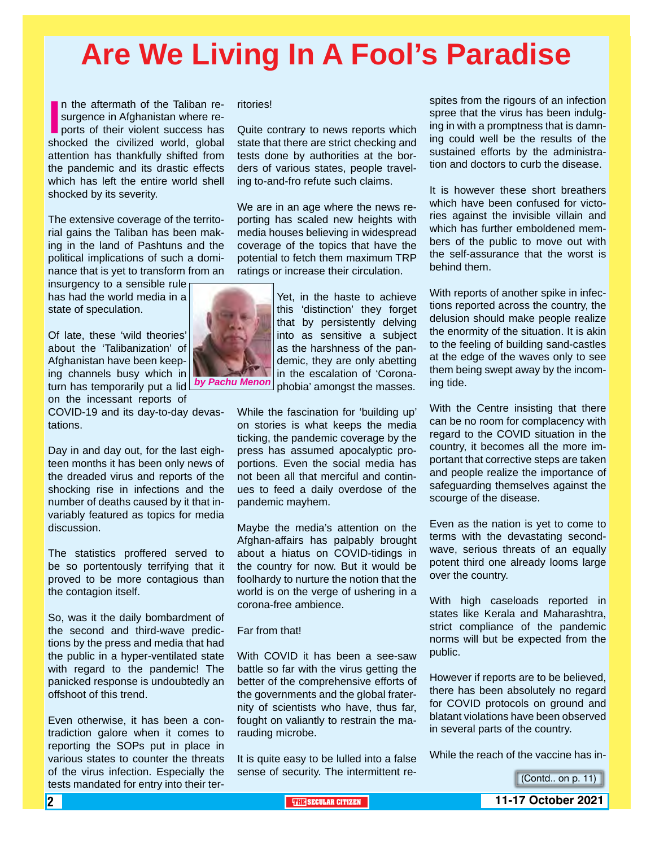# **Are We Living In A Fool's Paradise**

In the aftermath of the Taliban resurgence in Afghanistan where reports of their violent success has shocked the civilized world, global n the aftermath of the Taliban resurgence in Afghanistan where reports of their violent success has attention has thankfully shifted from the pandemic and its drastic effects which has left the entire world shell shocked by its severity.

The extensive coverage of the territorial gains the Taliban has been making in the land of Pashtuns and the political implications of such a dominance that is yet to transform from an

insurgency to a sensible rule has had the world media in a state of speculation.

Of late, these 'wild theories' about the 'Talibanization' of Afghanistan have been keeping channels busy which in turn has temporarily put a lid *by Pachu Menon* on the incessant reports of

COVID-19 and its day-to-day devastations.

Day in and day out, for the last eighteen months it has been only news of the dreaded virus and reports of the shocking rise in infections and the number of deaths caused by it that invariably featured as topics for media discussion.

The statistics proffered served to be so portentously terrifying that it proved to be more contagious than the contagion itself.

So, was it the daily bombardment of the second and third-wave predictions by the press and media that had the public in a hyper-ventilated state with regard to the pandemic! The panicked response is undoubtedly an offshoot of this trend.

Even otherwise, it has been a contradiction galore when it comes to reporting the SOPs put in place in various states to counter the threats of the virus infection. Especially the tests mandated for entry into their territories!

Quite contrary to news reports which state that there are strict checking and tests done by authorities at the borders of various states, people traveling to-and-fro refute such claims.

We are in an age where the news reporting has scaled new heights with media houses believing in widespread coverage of the topics that have the potential to fetch them maximum TRP ratings or increase their circulation.



Yet, in the haste to achieve this 'distinction' they forget that by persistently delving into as sensitive a subject as the harshness of the pandemic, they are only abetting in the escalation of 'Coronaphobia' amongst the masses.

While the fascination for 'building up' on stories is what keeps the media ticking, the pandemic coverage by the press has assumed apocalyptic proportions. Even the social media has not been all that merciful and continues to feed a daily overdose of the pandemic mayhem.

Maybe the media's attention on the Afghan-affairs has palpably brought about a hiatus on COVID-tidings in the country for now. But it would be foolhardy to nurture the notion that the world is on the verge of ushering in a corona-free ambience.

#### Far from that!

With COVID it has been a see-saw battle so far with the virus getting the better of the comprehensive efforts of the governments and the global fraternity of scientists who have, thus far, fought on valiantly to restrain the marauding microbe.

It is quite easy to be lulled into a false sense of security. The intermittent respites from the rigours of an infection spree that the virus has been indulging in with a promptness that is damning could well be the results of the sustained efforts by the administration and doctors to curb the disease.

It is however these short breathers which have been confused for victories against the invisible villain and which has further emboldened members of the public to move out with the self-assurance that the worst is behind them.

With reports of another spike in infections reported across the country, the delusion should make people realize the enormity of the situation. It is akin to the feeling of building sand-castles at the edge of the waves only to see them being swept away by the incoming tide.

With the Centre insisting that there can be no room for complacency with regard to the COVID situation in the country, it becomes all the more important that corrective steps are taken and people realize the importance of safeguarding themselves against the scourge of the disease.

Even as the nation is yet to come to terms with the devastating secondwave, serious threats of an equally potent third one already looms large over the country.

With high caseloads reported in states like Kerala and Maharashtra, strict compliance of the pandemic norms will but be expected from the public.

However if reports are to be believed, there has been absolutely no regard for COVID protocols on ground and blatant violations have been observed in several parts of the country.

While the reach of the vaccine has in-

(Contd.. on p. 11)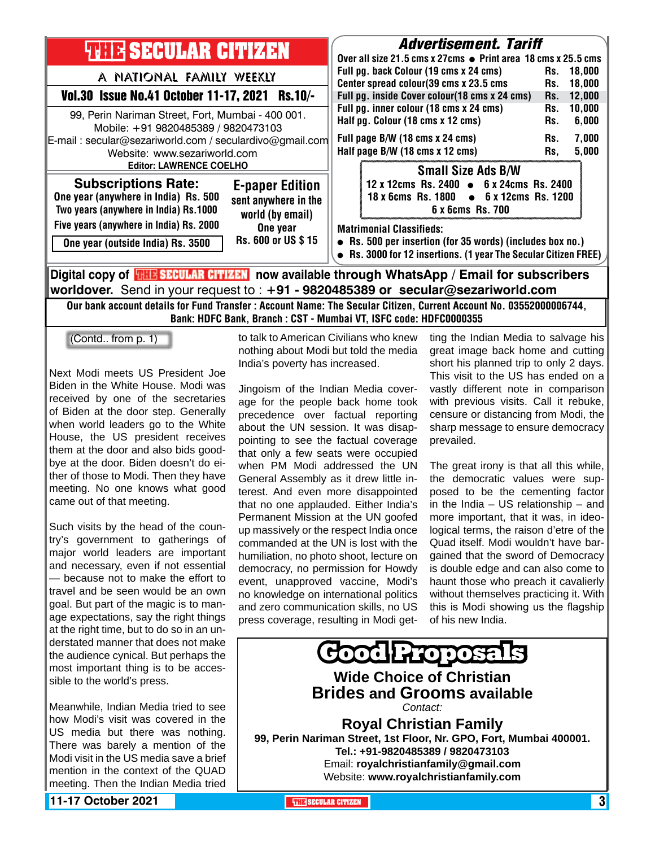| <b>THIR SECULAR CITIZEN</b>                                                                                                                                                           | <b>Advertisement. Tariff</b><br>Over all size 21.5 cms x 27cms ● Print area 18 cms x 25.5 cms                                                                   |
|---------------------------------------------------------------------------------------------------------------------------------------------------------------------------------------|-----------------------------------------------------------------------------------------------------------------------------------------------------------------|
| A NATIONAL FAMILY WEEKLY                                                                                                                                                              | Full pg. back Colour (19 cms x 24 cms)<br>18,000<br>Rs.<br>Center spread colour(39 cms x 23.5 cms<br>18,000                                                     |
| Vol.30 Issue No.41 October 11-17, 2021 Rs.10/-                                                                                                                                        | Rs.<br>Full pg. inside Cover colour(18 cms x 24 cms)<br>12,000<br>Rs.                                                                                           |
| 99, Perin Nariman Street, Fort, Mumbai - 400 001.<br>Mobile: +91 9820485389 / 9820473103                                                                                              | Full pg. inner colour (18 cms x 24 cms)<br>10,000<br>Rs.<br>Half pg. Colour (18 cms x 12 cms)<br>6,000<br>Rs.                                                   |
| E-mail: secular@sezariworld.com / seculardivo@gmail.com<br>Website: www.sezariworld.com                                                                                               | Full page B/W (18 cms x 24 cms)<br>7,000<br>Rs.<br>Half page B/W (18 cms x 12 cms)<br>5,000<br>Rs,                                                              |
| <b>Editor: LAWRENCE COELHO</b>                                                                                                                                                        | <b>Small Size Ads B/W</b>                                                                                                                                       |
| <b>Subscriptions Rate:</b><br><b>E-paper Edition</b><br>One year (anywhere in India) Rs. 500<br>sent anywhere in the<br>Two years (anywhere in India) Rs.1000<br>world (by email)     | 12 x 12cms Rs. 2400 • 6 x 24cms Rs. 2400<br>18 x 6cms Rs. 1800 • 6 x 12cms Rs. 1200<br>6 x 6cms Rs. 700                                                         |
| Five years (anywhere in India) Rs. 2000<br>One year<br>Rs. 600 or US \$15<br>One year (outside India) Rs. 3500                                                                        | <b>Matrimonial Classifieds:</b><br>• Rs. 500 per insertion (for 35 words) (includes box no.)<br>• Rs. 3000 for 12 insertions. (1 year The Secular Citizen FREE) |
| Digital copy of <b>THE SECULAR CITIZEN</b> now available through WhatsApp / Email for subscribers<br>worldover. Send in your request to : +91 - 9820485389 or secular@sezariworld.com |                                                                                                                                                                 |

Our bank account details for Fund Transfer : Account Name: The Secular Citizen, Current Account No. 03552000006744, Bank: HDFC Bank, Branch : CST - Mumbai VT, ISFC code: HDFC0000355

(Contd.. from p. 1)

Next Modi meets US President Joe Biden in the White House. Modi was received by one of the secretaries of Biden at the door step. Generally when world leaders go to the White House, the US president receives them at the door and also bids goodbye at the door. Biden doesn't do either of those to Modi. Then they have meeting. No one knows what good came out of that meeting.

Such visits by the head of the country's government to gatherings of major world leaders are important and necessary, even if not essential — because not to make the effort to travel and be seen would be an own goal. But part of the magic is to manage expectations, say the right things at the right time, but to do so in an understated manner that does not make the audience cynical. But perhaps the most important thing is to be accessible to the world's press.

Meanwhile, Indian Media tried to see how Modi's visit was covered in the US media but there was nothing. There was barely a mention of the Modi visit in the US media save a brief mention in the context of the QUAD meeting. Then the Indian Media tried

to talk to American Civilians who knew nothing about Modi but told the media India's poverty has increased.

Jingoism of the Indian Media coverage for the people back home took precedence over factual reporting about the UN session. It was disappointing to see the factual coverage that only a few seats were occupied when PM Modi addressed the UN General Assembly as it drew little interest. And even more disappointed that no one applauded. Either India's Permanent Mission at the UN goofed up massively or the respect India once commanded at the UN is lost with the humiliation, no photo shoot, lecture on democracy, no permission for Howdy event, unapproved vaccine, Modi's no knowledge on international politics and zero communication skills, no US press coverage, resulting in Modi getting the Indian Media to salvage his great image back home and cutting short his planned trip to only 2 days. This visit to the US has ended on a vastly different note in comparison with previous visits. Call it rebuke, censure or distancing from Modi, the sharp message to ensure democracy prevailed.

The great irony is that all this while, the democratic values were supposed to be the cementing factor in the India – US relationship – and more important, that it was, in ideological terms, the raison d'etre of the Quad itself. Modi wouldn't have bargained that the sword of Democracy is double edge and can also come to haunt those who preach it cavalierly without themselves practicing it. With this is Modi showing us the flagship of his new India.



**11-17 October 2021 The City of the Secular Citizen and Secular Citizen 3**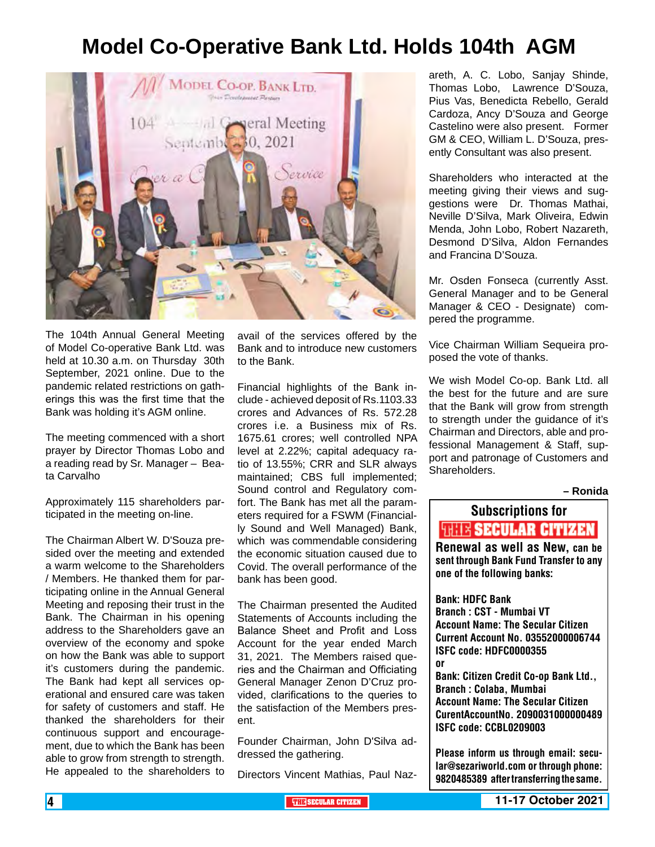### **Model Co-Operative Bank Ltd. Holds 104th AGM**



The 104th Annual General Meeting of Model Co-operative Bank Ltd. was held at 10.30 a.m. on Thursday 30th September, 2021 online. Due to the pandemic related restrictions on gatherings this was the first time that the Bank was holding it's AGM online.

The meeting commenced with a short prayer by Director Thomas Lobo and a reading read by Sr. Manager – Beata Carvalho

Approximately 115 shareholders participated in the meeting on-line.

The Chairman Albert W. D'Souza presided over the meeting and extended a warm welcome to the Shareholders / Members. He thanked them for participating online in the Annual General Meeting and reposing their trust in the Bank. The Chairman in his opening address to the Shareholders gave an overview of the economy and spoke on how the Bank was able to support it's customers during the pandemic. The Bank had kept all services operational and ensured care was taken for safety of customers and staff. He thanked the shareholders for their continuous support and encouragement, due to which the Bank has been able to grow from strength to strength. He appealed to the shareholders to

avail of the services offered by the Bank and to introduce new customers to the Bank.

Financial highlights of the Bank include - achieved deposit of Rs.1103.33 crores and Advances of Rs. 572.28 crores i.e. a Business mix of Rs. 1675.61 crores; well controlled NPA level at 2.22%; capital adequacy ratio of 13.55%; CRR and SLR always maintained; CBS full implemented; Sound control and Regulatory comfort. The Bank has met all the parameters required for a FSWM (Financially Sound and Well Managed) Bank, which was commendable considering the economic situation caused due to Covid. The overall performance of the bank has been good.

The Chairman presented the Audited Statements of Accounts including the Balance Sheet and Profit and Loss Account for the year ended March 31, 2021. The Members raised queries and the Chairman and Officiating General Manager Zenon D'Cruz provided, clarifications to the queries to the satisfaction of the Members present.

Founder Chairman, John D'Silva addressed the gathering.

Directors Vincent Mathias, Paul Naz-

areth, A. C. Lobo, Sanjay Shinde, Thomas Lobo, Lawrence D'Souza, Pius Vas, Benedicta Rebello, Gerald Cardoza, Ancy D'Souza and George Castelino were also present. Former GM & CEO, William L. D'Souza, presently Consultant was also present.

Shareholders who interacted at the meeting giving their views and suggestions were Dr. Thomas Mathai, Neville D'Silva, Mark Oliveira, Edwin Menda, John Lobo, Robert Nazareth, Desmond D'Silva, Aldon Fernandes and Francina D'Souza.

Mr. Osden Fonseca (currently Asst. General Manager and to be General Manager & CEO - Designate) compered the programme.

Vice Chairman William Sequeira proposed the vote of thanks.

We wish Model Co-op. Bank Ltd. all the best for the future and are sure that the Bank will grow from strength to strength under the guidance of it's Chairman and Directors, able and professional Management & Staff, support and patronage of Customers and **Shareholders** 

**– Ronida**

## Subscriptions for **THIE SECULAR CITIZEN**<br>Renewal as well as New, can be

sent through Bank Fund Transfer to any one of the following banks:

Bank: HDFC Bank Branch : CST - Mumbai VT Account Name: The Secular Citizen Current Account No. 03552000006744 ISFC code: HDFC0000355 or Bank: Citizen Credit Co-op Bank Ltd., Branch : Colaba, Mumbai Account Name: The Secular Citizen CurentAccountNo. 2090031000000489 ISFC code: CCBL0209003

Please inform us through email: secular@sezariworld.com or through phone: 9820485389 after transferring the same.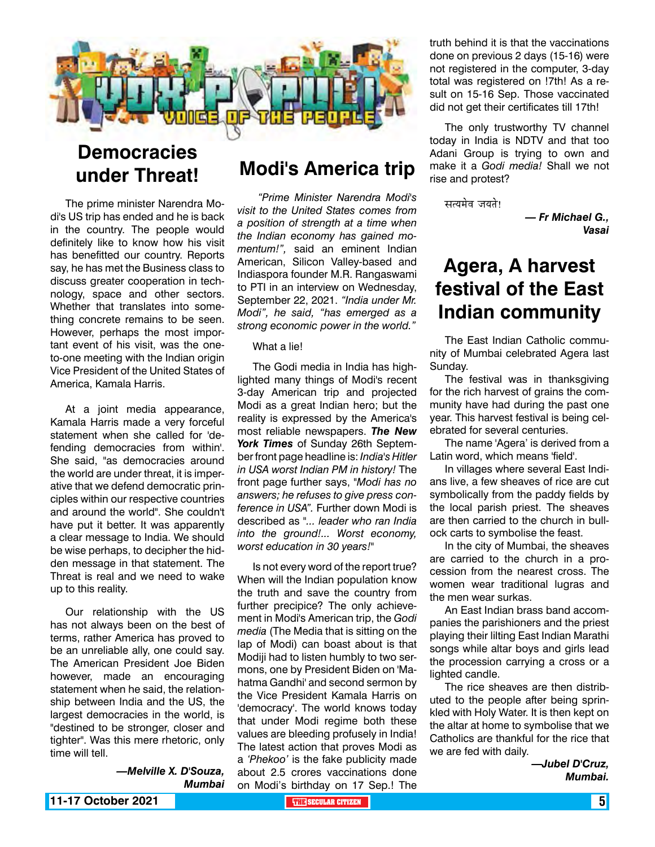

### **Democracies under Threat!**

The prime minister Narendra Modi's US trip has ended and he is back in the country. The people would definitely like to know how his visit has benefitted our country. Reports say, he has met the Business class to discuss greater cooperation in technology, space and other sectors. Whether that translates into something concrete remains to be seen. However, perhaps the most important event of his visit, was the oneto-one meeting with the Indian origin Vice President of the United States of America, Kamala Harris.

At a joint media appearance, Kamala Harris made a very forceful statement when she called for 'defending democracies from within'. She said, "as democracies around the world are under threat, it is imperative that we defend democratic principles within our respective countries and around the world". She couldn't have put it better. It was apparently a clear message to India. We should be wise perhaps, to decipher the hidden message in that statement. The Threat is real and we need to wake up to this reality.

Our relationship with the US has not always been on the best of terms, rather America has proved to be an unreliable ally, one could say. The American President Joe Biden however, made an encouraging statement when he said, the relationship between India and the US, the largest democracies in the world, is "destined to be stronger, closer and tighter". Was this mere rhetoric, only time will tell.

> *—Melville X. D'Souza, Mumbai*

### **Modi's America trip**

*"Prime Minister Narendra Modi's visit to the United States comes from a position of strength at a time when the Indian economy has gained momentum!",* said an eminent Indian American, Silicon Valley-based and Indiaspora founder M.R. Rangaswami to PTI in an interview on Wednesday, September 22, 2021. *"India under Mr. Modi", he said, "has emerged as a strong economic power in the world."*

#### What a lie!

The Godi media in India has highlighted many things of Modi's recent 3-day American trip and projected Modi as a great Indian hero; but the reality is expressed by the America's most reliable newspapers. *The New York Times* of Sunday 26th September front page headline is: *India's Hitler in USA worst Indian PM in history!* The front page further says, *"Modi has no answers; he refuses to give press conference in USA".* Further down Modi is described as *"... leader who ran India into the ground!... Worst economy, worst education in 30 years!"*

Is not every word of the report true? When will the Indian population know the truth and save the country from further precipice? The only achievement in Modi's American trip, the *Godi media* (The Media that is sitting on the lap of Modi) can boast about is that Modiji had to listen humbly to two sermons, one by President Biden on 'Mahatma Gandhi' and second sermon by the Vice President Kamala Harris on 'democracy'. The world knows today that under Modi regime both these values are bleeding profusely in India! The latest action that proves Modi as a *'Phekoo'* is the fake publicity made about 2.5 crores vaccinations done on Modi's birthday on 17 Sep.! The

truth behind it is that the vaccinations done on previous 2 days (15-16) were not registered in the computer, 3-day total was registered on !7th! As a result on 15-16 Sep. Those vaccinated did not get their certificates till 17th!

The only trustworthy TV channel today in India is NDTV and that too Adani Group is trying to own and make it a *Godi media!* Shall we not rise and protest?

सत्यमेव जयते!

*— Fr Michael G., Vasai* 

### **Agera, A harvest festival of the East Indian community**

The East Indian Catholic community of Mumbai celebrated Agera last Sunday.

The festival was in thanksgiving for the rich harvest of grains the community have had during the past one year. This harvest festival is being celebrated for several centuries.

The name 'Agera' is derived from a Latin word, which means 'field'.

In villages where several East Indians live, a few sheaves of rice are cut symbolically from the paddy fields by the local parish priest. The sheaves are then carried to the church in bullock carts to symbolise the feast.

In the city of Mumbai, the sheaves are carried to the church in a procession from the nearest cross. The women wear traditional lugras and the men wear surkas.

An East Indian brass band accompanies the parishioners and the priest playing their lilting East Indian Marathi songs while altar boys and girls lead the procession carrying a cross or a lighted candle.

The rice sheaves are then distributed to the people after being sprinkled with Holy Water. It is then kept on the altar at home to symbolise that we Catholics are thankful for the rice that we are fed with daily.

> *—Jubel D'Cruz, Mumbai.*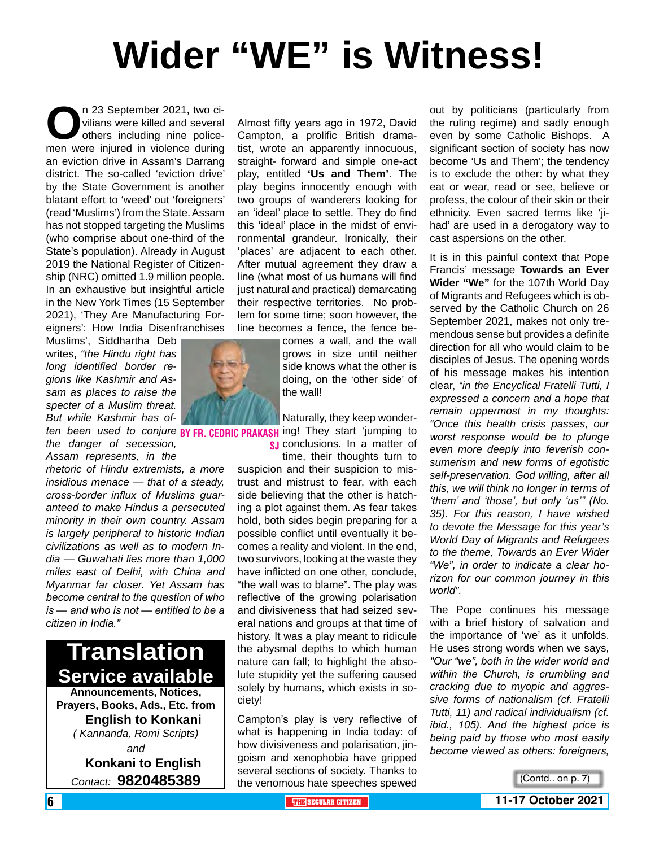# **Wider "WE" is Witness!**

**O**n 23 September 2021, two civilians were killed and several others including nine policemen were injured in violence during vilians were killed and several others including nine policean eviction drive in Assam's Darrang district. The so-called 'eviction drive' by the State Government is another blatant effort to 'weed' out 'foreigners' (read 'Muslims') from the State. Assam has not stopped targeting the Muslims (who comprise about one-third of the State's population). Already in August 2019 the National Register of Citizenship (NRC) omitted 1.9 million people. In an exhaustive but insightful article in the New York Times (15 September 2021), 'They Are Manufacturing Foreigners': How India Disenfranchises

Muslims', Siddhartha Deb writes, *"the Hindu right has long identified border regions like Kashmir and Assam as places to raise the specter of a Muslim threat. But while Kashmir has of-*

*the danger of secession, Assam represents, in the* 

*rhetoric of Hindu extremists, a more insidious menace — that of a steady, cross-border influx of Muslims guaranteed to make Hindus a persecuted minority in their own country. Assam is largely peripheral to historic Indian civilizations as well as to modern India — Guwahati lies more than 1,000 miles east of Delhi, with China and Myanmar far closer. Yet Assam has become central to the question of who is — and who is not — entitled to be a citizen in India."*

# **Translation Service available**

**Announcements, Notices, Prayers, Books, Ads., Etc. from English to Konkani** *( Kannanda, Romi Scripts) and* **Konkani to English**

*Contact:* **9820485389**

Almost fifty years ago in 1972, David Campton, a prolific British dramatist, wrote an apparently innocuous, straight- forward and simple one-act play, entitled **'Us and Them'**. The play begins innocently enough with two groups of wanderers looking for an 'ideal' place to settle. They do find this 'ideal' place in the midst of environmental grandeur. Ironically, their 'places' are adjacent to each other. After mutual agreement they draw a line (what most of us humans will find just natural and practical) demarcating their respective territories. No problem for some time; soon however, the line becomes a fence, the fence be-

comes a wall, and the wall grows in size until neither side knows what the other is doing, on the 'other side' of the wall!

*ten been used to conjure* BY FR, CEDRIC PRAKASH ing! They start 'jumping to Naturally, they keep wonder**s** conclusions. In a matter of

time, their thoughts turn to suspicion and their suspicion to mistrust and mistrust to fear, with each side believing that the other is hatching a plot against them. As fear takes hold, both sides begin preparing for a possible conflict until eventually it becomes a reality and violent. In the end, two survivors, looking at the waste they have inflicted on one other, conclude, "the wall was to blame". The play was reflective of the growing polarisation and divisiveness that had seized several nations and groups at that time of history. It was a play meant to ridicule the abysmal depths to which human nature can fall; to highlight the absolute stupidity yet the suffering caused solely by humans, which exists in society!

Campton's play is very reflective of what is happening in India today: of how divisiveness and polarisation, jingoism and xenophobia have gripped several sections of society. Thanks to the venomous hate speeches spewed

out by politicians (particularly from the ruling regime) and sadly enough even by some Catholic Bishops. A significant section of society has now become 'Us and Them'; the tendency is to exclude the other: by what they eat or wear, read or see, believe or profess, the colour of their skin or their ethnicity. Even sacred terms like 'jihad' are used in a derogatory way to cast aspersions on the other.

It is in this painful context that Pope Francis' message **Towards an Ever Wider "We"** for the 107th World Day of Migrants and Refugees which is observed by the Catholic Church on 26 September 2021, makes not only tremendous sense but provides a definite direction for all who would claim to be disciples of Jesus. The opening words of his message makes his intention clear, *"in the Encyclical Fratelli Tutti, I expressed a concern and a hope that remain uppermost in my thoughts: "Once this health crisis passes, our worst response would be to plunge even more deeply into feverish consumerism and new forms of egotistic self-preservation. God willing, after all this, we will think no longer in terms of 'them' and 'those', but only 'us'" (No. 35). For this reason, I have wished to devote the Message for this year's World Day of Migrants and Refugees to the theme, Towards an Ever Wider "We", in order to indicate a clear horizon for our common journey in this world".*

The Pope continues his message with a brief history of salvation and the importance of 'we' as it unfolds. He uses strong words when we says, *"Our "we", both in the wider world and within the Church, is crumbling and cracking due to myopic and aggressive forms of nationalism (cf. Fratelli Tutti, 11) and radical individualism (cf. ibid., 105). And the highest price is being paid by those who most easily become viewed as others: foreigners,* 

(Contd.. on p. 7)

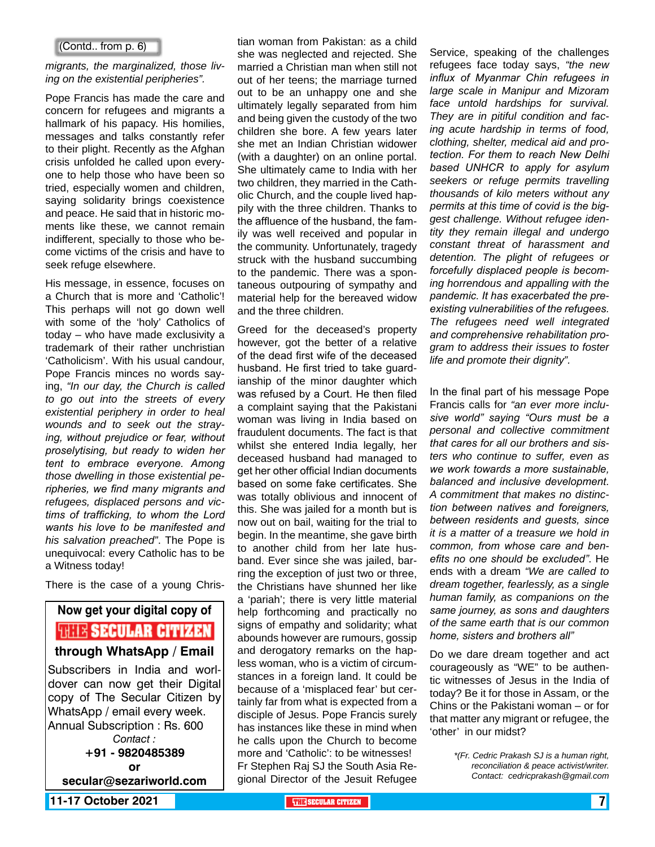#### (Contd.. from p. 6)

#### *migrants, the marginalized, those living on the existential peripheries".*

Pope Francis has made the care and concern for refugees and migrants a hallmark of his papacy. His homilies, messages and talks constantly refer to their plight. Recently as the Afghan crisis unfolded he called upon everyone to help those who have been so tried, especially women and children, saying solidarity brings coexistence and peace. He said that in historic moments like these, we cannot remain indifferent, specially to those who become victims of the crisis and have to seek refuge elsewhere.

His message, in essence, focuses on a Church that is more and 'Catholic'! This perhaps will not go down well with some of the 'holy' Catholics of today – who have made exclusivity a trademark of their rather unchristian 'Catholicism'. With his usual candour, Pope Francis minces no words saying, *"In our day, the Church is called to go out into the streets of every existential periphery in order to heal wounds and to seek out the straying, without prejudice or fear, without proselytising, but ready to widen her tent to embrace everyone. Among those dwelling in those existential peripheries, we find many migrants and refugees, displaced persons and victims of trafficking, to whom the Lord wants his love to be manifested and his salvation preached"*. The Pope is unequivocal: every Catholic has to be a Witness today!

There is the case of a young Chris-

**Now get your digital copy of WHIS SECULAR CITIZEN through WhatsApp / Email** Subscribers in India and worldover can now get their Digital copy of The Secular Citizen by WhatsApp / email every week. Annual Subscription : Rs. 600 *Contact :* **+91 - 9820485389 or secular@sezariworld.com**

tian woman from Pakistan: as a child she was neglected and rejected. She married a Christian man when still not out of her teens; the marriage turned out to be an unhappy one and she ultimately legally separated from him and being given the custody of the two children she bore. A few years later she met an Indian Christian widower (with a daughter) on an online portal. She ultimately came to India with her two children, they married in the Catholic Church, and the couple lived happily with the three children. Thanks to the affluence of the husband, the family was well received and popular in the community. Unfortunately, tragedy struck with the husband succumbing to the pandemic. There was a spontaneous outpouring of sympathy and material help for the bereaved widow and the three children.

Greed for the deceased's property however, got the better of a relative of the dead first wife of the deceased husband. He first tried to take guardianship of the minor daughter which was refused by a Court. He then filed a complaint saying that the Pakistani woman was living in India based on fraudulent documents. The fact is that whilst she entered India legally, her deceased husband had managed to get her other official Indian documents based on some fake certificates. She was totally oblivious and innocent of this. She was jailed for a month but is now out on bail, waiting for the trial to begin. In the meantime, she gave birth to another child from her late husband. Ever since she was jailed, barring the exception of just two or three, the Christians have shunned her like a 'pariah'; there is very little material help forthcoming and practically no signs of empathy and solidarity; what abounds however are rumours, gossip and derogatory remarks on the hapless woman, who is a victim of circumstances in a foreign land. It could be because of a 'misplaced fear' but certainly far from what is expected from a disciple of Jesus. Pope Francis surely has instances like these in mind when he calls upon the Church to become more and 'Catholic': to be witnesses! Fr Stephen Raj SJ the South Asia Regional Director of the Jesuit Refugee

Service, speaking of the challenges refugees face today says, *"the new influx of Myanmar Chin refugees in large scale in Manipur and Mizoram face untold hardships for survival. They are in pitiful condition and facing acute hardship in terms of food, clothing, shelter, medical aid and protection. For them to reach New Delhi based UNHCR to apply for asylum seekers or refuge permits travelling thousands of kilo meters without any permits at this time of covid is the biggest challenge. Without refugee identity they remain illegal and undergo constant threat of harassment and detention. The plight of refugees or forcefully displaced people is becoming horrendous and appalling with the pandemic. It has exacerbated the preexisting vulnerabilities of the refugees. The refugees need well integrated and comprehensive rehabilitation program to address their issues to foster life and promote their dignity".* 

In the final part of his message Pope Francis calls for *"an ever more inclusive world" saying "Ours must be a personal and collective commitment that cares for all our brothers and sisters who continue to suffer, even as we work towards a more sustainable, balanced and inclusive development. A commitment that makes no distinction between natives and foreigners, between residents and guests, since it is a matter of a treasure we hold in common, from whose care and benefits no one should be excluded"*. He ends with a dream *"We are called to dream together, fearlessly, as a single human family, as companions on the same journey, as sons and daughters of the same earth that is our common home, sisters and brothers all"*

Do we dare dream together and act courageously as "WE" to be authentic witnesses of Jesus in the India of today? Be it for those in Assam, or the Chins or the Pakistani woman – or for that matter any migrant or refugee, the 'other' in our midst?

> *\*(Fr. Cedric Prakash SJ is a human right, reconciliation & peace activist/writer. Contact: cedricprakash@gmail.com*

**11-17 October 2021 THE SECULAR CITIZEN** 7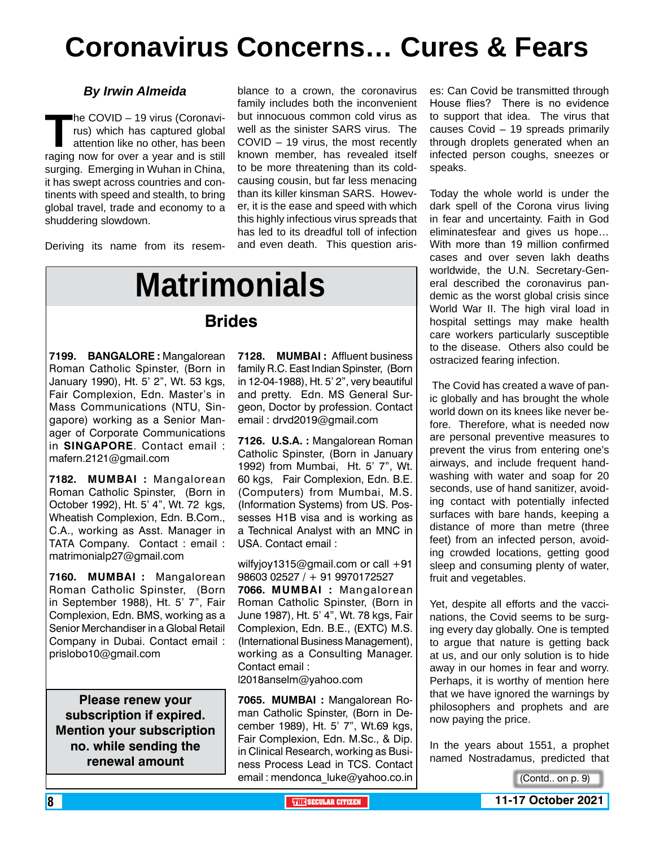# **Coronavirus Concerns… Cures & Fears**

#### *By Irwin Almeida*

**The COVID – 19 virus (Coronavi-**<br>rus) which has captured global<br>attention like no other, has been<br>raging now for over a vear and is still rus) which has captured global attention like no other, has been raging now for over a year and is still surging. Emerging in Wuhan in China, it has swept across countries and continents with speed and stealth, to bring global travel, trade and economy to a shuddering slowdown.

Deriving its name from its resem-

blance to a crown, the coronavirus family includes both the inconvenient but innocuous common cold virus as well as the sinister SARS virus. The COVID – 19 virus, the most recently known member, has revealed itself to be more threatening than its coldcausing cousin, but far less menacing than its killer kinsman SARS. However, it is the ease and speed with which this highly infectious virus spreads that has led to its dreadful toll of infection and even death. This question aris-

# **Matrimonials**

#### **Brides**

**7199. BANGALORE :** Mangalorean Roman Catholic Spinster, (Born in January 1990), Ht. 5' 2", Wt. 53 kgs, Fair Complexion, Edn. Master's in Mass Communications (NTU, Singapore) working as a Senior Manager of Corporate Communications in **SINGAPORE**. Contact email : mafern.2121@gmail.com

**7182. MUMBAI :** Mangalorean Roman Catholic Spinster, (Born in October 1992), Ht. 5' 4", Wt. 72 kgs, Wheatish Complexion, Edn. B.Com., C.A., working as Asst. Manager in TATA Company. Contact : email : matrimonialp27@gmail.com

**7160. MUMBAI :** Mangalorean Roman Catholic Spinster, (Born in September 1988), Ht. 5' 7", Fair Complexion, Edn. BMS, working as a Senior Merchandiser in a Global Retail Company in Dubai. Contact email : prislobo10@gmail.com

**Please renew your subscription if expired. Mention your subscription no. while sending the renewal amount**

**7128. MUMBAI :** Affluent business family R.C. East Indian Spinster, (Born in 12-04-1988), Ht. 5' 2", very beautiful and pretty. Edn. MS General Surgeon, Doctor by profession. Contact email : drvd2019@gmail.com

**7126. U.S.A. :** Mangalorean Roman Catholic Spinster, (Born in January 1992) from Mumbai, Ht. 5' 7", Wt. 60 kgs, Fair Complexion, Edn. B.E. (Computers) from Mumbai, M.S. (Information Systems) from US. Possesses H1B visa and is working as a Technical Analyst with an MNC in USA. Contact email :

wilfyjoy1315@gmail.com or call +91 98603 02527 / + 91 9970172527

**7066. MUMBAI :** Mangalorean Roman Catholic Spinster, (Born in June 1987), Ht. 5' 4", Wt. 78 kgs, Fair Complexion, Edn. B.E., (EXTC) M.S. (International Business Management), working as a Consulting Manager. Contact email : l2018anselm@yahoo.com

**7065. MUMBAI :** Mangalorean Roman Catholic Spinster, (Born in December 1989), Ht. 5' 7", Wt.69 kgs, Fair Complexion, Edn. M.Sc., & Dip. in Clinical Research, working as Business Process Lead in TCS. Contact email : mendonca luke@yahoo.co.in es: Can Covid be transmitted through House flies? There is no evidence to support that idea. The virus that causes Covid – 19 spreads primarily through droplets generated when an infected person coughs, sneezes or speaks.

Today the whole world is under the dark spell of the Corona virus living in fear and uncertainty. Faith in God eliminatesfear and gives us hope… With more than 19 million confirmed cases and over seven lakh deaths worldwide, the U.N. Secretary-General described the coronavirus pandemic as the worst global crisis since World War II. The high viral load in hospital settings may make health care workers particularly susceptible to the disease. Others also could be ostracized fearing infection.

 The Covid has created a wave of panic globally and has brought the whole world down on its knees like never before. Therefore, what is needed now are personal preventive measures to prevent the virus from entering one's airways, and include frequent handwashing with water and soap for 20 seconds, use of hand sanitizer, avoiding contact with potentially infected surfaces with bare hands, keeping a distance of more than metre (three feet) from an infected person, avoiding crowded locations, getting good sleep and consuming plenty of water, fruit and vegetables.

Yet, despite all efforts and the vaccinations, the Covid seems to be surging every day globally. One is tempted to argue that nature is getting back at us, and our only solution is to hide away in our homes in fear and worry. Perhaps, it is worthy of mention here that we have ignored the warnings by philosophers and prophets and are now paying the price.

In the years about 1551, a prophet named Nostradamus, predicted that

<sup>(</sup>Contd.. on p. 9)

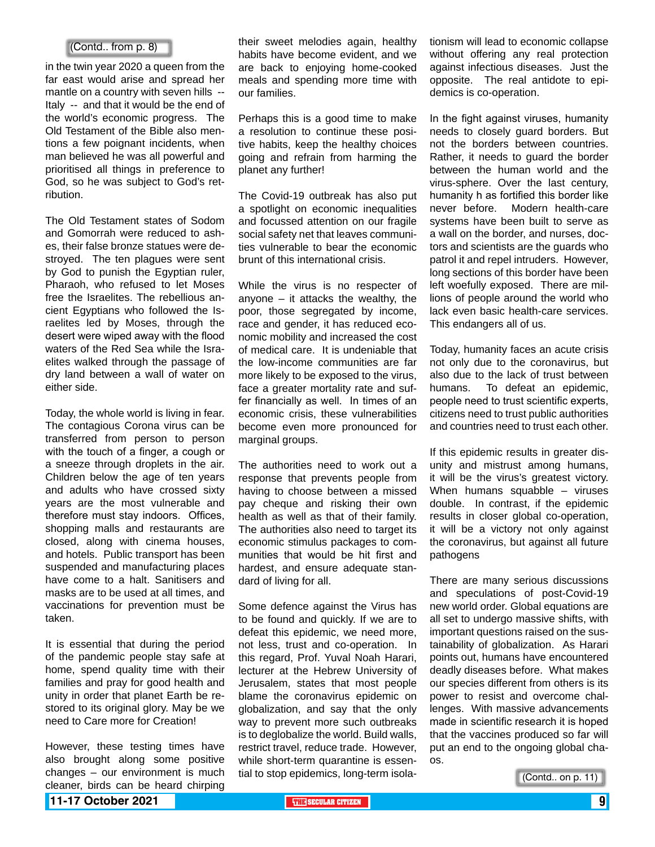#### (Contd.. from p. 8)

in the twin year 2020 a queen from the far east would arise and spread her mantle on a country with seven hills -- Italy -- and that it would be the end of the world's economic progress. The Old Testament of the Bible also mentions a few poignant incidents, when man believed he was all powerful and prioritised all things in preference to God, so he was subject to God's retribution.

The Old Testament states of Sodom and Gomorrah were reduced to ashes, their false bronze statues were destroyed. The ten plagues were sent by God to punish the Egyptian ruler, Pharaoh, who refused to let Moses free the Israelites. The rebellious ancient Egyptians who followed the Israelites led by Moses, through the desert were wiped away with the flood waters of the Red Sea while the Israelites walked through the passage of dry land between a wall of water on either side.

Today, the whole world is living in fear. The contagious Corona virus can be transferred from person to person with the touch of a finger, a cough or a sneeze through droplets in the air. Children below the age of ten years and adults who have crossed sixty years are the most vulnerable and therefore must stay indoors. Offices, shopping malls and restaurants are closed, along with cinema houses, and hotels. Public transport has been suspended and manufacturing places have come to a halt. Sanitisers and masks are to be used at all times, and vaccinations for prevention must be taken.

It is essential that during the period of the pandemic people stay safe at home, spend quality time with their families and pray for good health and unity in order that planet Earth be restored to its original glory. May be we need to Care more for Creation!

However, these testing times have also brought along some positive changes – our environment is much cleaner, birds can be heard chirping their sweet melodies again, healthy habits have become evident, and we are back to enjoying home-cooked meals and spending more time with our families.

Perhaps this is a good time to make a resolution to continue these positive habits, keep the healthy choices going and refrain from harming the planet any further!

The Covid-19 outbreak has also put a spotlight on economic inequalities and focussed attention on our fragile social safety net that leaves communities vulnerable to bear the economic brunt of this international crisis.

While the virus is no respecter of anyone  $-$  it attacks the wealthy, the poor, those segregated by income, race and gender, it has reduced economic mobility and increased the cost of medical care. It is undeniable that the low-income communities are far more likely to be exposed to the virus, face a greater mortality rate and suffer financially as well. In times of an economic crisis, these vulnerabilities become even more pronounced for marginal groups.

The authorities need to work out a response that prevents people from having to choose between a missed pay cheque and risking their own health as well as that of their family. The authorities also need to target its economic stimulus packages to communities that would be hit first and hardest, and ensure adequate standard of living for all.

Some defence against the Virus has to be found and quickly. If we are to defeat this epidemic, we need more, not less, trust and co-operation. In this regard, Prof. Yuval Noah Harari, lecturer at the Hebrew University of Jerusalem, states that most people blame the coronavirus epidemic on globalization, and say that the only way to prevent more such outbreaks is to deglobalize the world. Build walls, restrict travel, reduce trade. However, while short-term quarantine is essential to stop epidemics, long-term isolationism will lead to economic collapse without offering any real protection against infectious diseases. Just the opposite. The real antidote to epidemics is co-operation.

In the fight against viruses, humanity needs to closely guard borders. But not the borders between countries. Rather, it needs to guard the border between the human world and the virus-sphere. Over the last century, humanity h as fortified this border like never before. Modern health-care systems have been built to serve as a wall on the border, and nurses, doctors and scientists are the guards who patrol it and repel intruders. However, long sections of this border have been left woefully exposed. There are millions of people around the world who lack even basic health-care services. This endangers all of us.

Today, humanity faces an acute crisis not only due to the coronavirus, but also due to the lack of trust between humans. To defeat an epidemic, people need to trust scientific experts, citizens need to trust public authorities and countries need to trust each other.

If this epidemic results in greater disunity and mistrust among humans, it will be the virus's greatest victory. When humans squabble – viruses double. In contrast, if the epidemic results in closer global co-operation, it will be a victory not only against the coronavirus, but against all future pathogens

There are many serious discussions and speculations of post-Covid-19 new world order. Global equations are all set to undergo massive shifts, with important questions raised on the sustainability of globalization. As Harari points out, humans have encountered deadly diseases before. What makes our species different from others is its power to resist and overcome challenges. With massive advancements made in scientific research it is hoped that the vaccines produced so far will put an end to the ongoing global chaos.

(Contd.. on p. 11)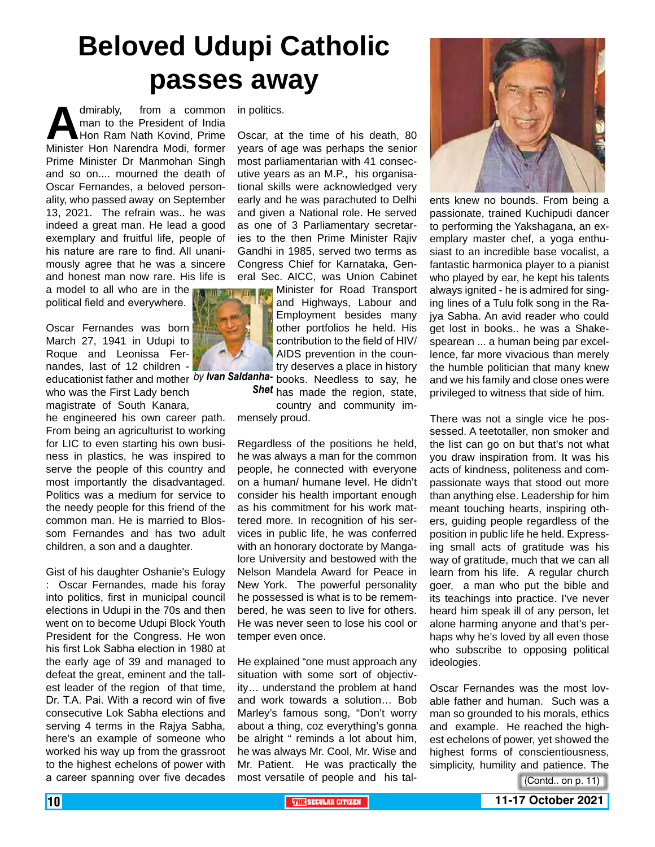# **Beloved Udupi Catholic passes away**

dmirably, from a common<br>man to the President of India<br>Minister Hon Narendra Modi, former man to the President of India Hon Ram Nath Kovind, Prime Minister Hon Narendra Modi, former Prime Minister Dr Manmohan Singh and so on.... mourned the death of Oscar Fernandes, a beloved personality, who passed away on September 13, 2021. The refrain was.. he was indeed a great man. He lead a good exemplary and fruitful life, people of his nature are rare to find. All unanimously agree that he was a sincere and honest man now rare. His life is a model to all who are in the

political field and everywhere.

Oscar Fernandes was born March 27, 1941 in Udupi to Roque and Leonissa Fernandes, last of 12 children educationist father and mother by lvan Saldanha- books. Needless to say, he

who was the First Lady bench magistrate of South Kanara,

he engineered his own career path. From being an agriculturist to working for LIC to even starting his own business in plastics, he was inspired to serve the people of this country and most importantly the disadvantaged. Politics was a medium for service to the needy people for this friend of the common man. He is married to Blossom Fernandes and has two adult children, a son and a daughter.

Gist of his daughter Oshanie's Eulogy : Oscar Fernandes, made his foray into politics, first in municipal council elections in Udupi in the 70s and then went on to become Udupi Block Youth President for the Congress. He won his first Lok Sabha election in 1980 at the early age of 39 and managed to defeat the great, eminent and the tallest leader of the region of that time, Dr. T.A. Pai. With a record win of five consecutive Lok Sabha elections and serving 4 terms in the Rajya Sabha, here's an example of someone who worked his way up from the grassroot to the highest echelons of power with a career spanning over five decades

in politics.

Oscar, at the time of his death, 80 years of age was perhaps the senior most parliamentarian with 41 consecutive years as an M.P., his organisational skills were acknowledged very early and he was parachuted to Delhi and given a National role. He served as one of 3 Parliamentary secretaries to the then Prime Minister Rajiv Gandhi in 1985, served two terms as Congress Chief for Karnataka, General Sec. AICC, was Union Cabinet

> Minister for Road Transport and Highways, Labour and Employment besides many other portfolios he held. His contribution to the field of HIV/ AIDS prevention in the country deserves a place in history

Shet has made the region, state, country and community immensely proud.

Regardless of the positions he held, he was always a man for the common people, he connected with everyone on a human/ humane level. He didn't consider his health important enough as his commitment for his work mattered more. In recognition of his services in public life, he was conferred with an honorary doctorate by Mangalore University and bestowed with the Nelson Mandela Award for Peace in New York. The powerful personality he possessed is what is to be remembered, he was seen to live for others. He was never seen to lose his cool or temper even once.

He explained "one must approach any situation with some sort of objectivity… understand the problem at hand and work towards a solution… Bob Marley's famous song, "Don't worry about a thing, coz everything's gonna be alright " reminds a lot about him, he was always Mr. Cool, Mr. Wise and Mr. Patient. He was practically the most versatile of people and his tal-



ents knew no bounds. From being a passionate, trained Kuchipudi dancer to performing the Yakshagana, an exemplary master chef, a yoga enthusiast to an incredible base vocalist, a fantastic harmonica player to a pianist who played by ear, he kept his talents always ignited - he is admired for singing lines of a Tulu folk song in the Rajya Sabha. An avid reader who could get lost in books.. he was a Shakespearean ... a human being par excellence, far more vivacious than merely the humble politician that many knew and we his family and close ones were privileged to witness that side of him.

There was not a single vice he possessed. A teetotaller, non smoker and the list can go on but that's not what you draw inspiration from. It was his acts of kindness, politeness and compassionate ways that stood out more than anything else. Leadership for him meant touching hearts, inspiring others, guiding people regardless of the position in public life he held. Expressing small acts of gratitude was his way of gratitude, much that we can all learn from his life. A regular church goer, a man who put the bible and its teachings into practice. I've never heard him speak ill of any person, let alone harming anyone and that's perhaps why he's loved by all even those who subscribe to opposing political ideologies.

Oscar Fernandes was the most lovable father and human. Such was a man so grounded to his morals, ethics and example. He reached the highest echelons of power, yet showed the highest forms of conscientiousness, simplicity, humility and patience. The



<sup>(</sup>Contd.. on p. 11)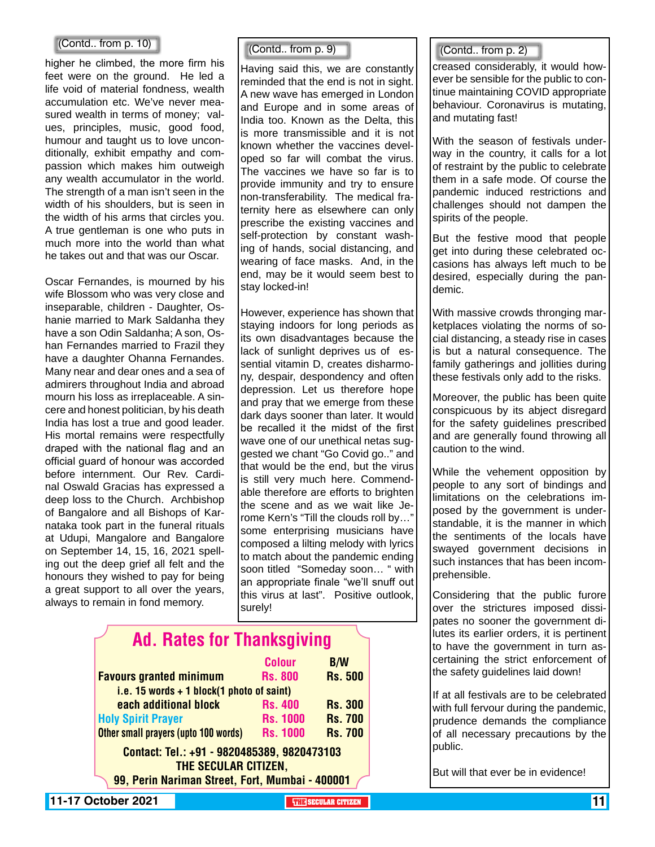#### (Contd.. from p. 10)

higher he climbed, the more firm his feet were on the ground. He led a life void of material fondness, wealth accumulation etc. We've never measured wealth in terms of money; values, principles, music, good food, humour and taught us to love unconditionally, exhibit empathy and compassion which makes him outweigh any wealth accumulator in the world. The strength of a man isn't seen in the width of his shoulders, but is seen in the width of his arms that circles you. A true gentleman is one who puts in much more into the world than what he takes out and that was our Oscar.

Oscar Fernandes, is mourned by his wife Blossom who was very close and inseparable, children - Daughter, Oshanie married to Mark Saldanha they have a son Odin Saldanha; A son, Oshan Fernandes married to Frazil they have a daughter Ohanna Fernandes. Many near and dear ones and a sea of admirers throughout India and abroad mourn his loss as irreplaceable. A sincere and honest politician, by his death India has lost a true and good leader. His mortal remains were respectfully draped with the national flag and an official guard of honour was accorded before internment. Our Rev. Cardinal Oswald Gracias has expressed a deep loss to the Church. Archbishop of Bangalore and all Bishops of Karnataka took part in the funeral rituals at Udupi, Mangalore and Bangalore on September 14, 15, 16, 2021 spelling out the deep grief all felt and the honours they wished to pay for being a great support to all over the years, always to remain in fond memory.

Having said this, we are constantly reminded that the end is not in sight. A new wave has emerged in London and Europe and in some areas of India too. Known as the Delta, this is more transmissible and it is not known whether the vaccines developed so far will combat the virus. The vaccines we have so far is to provide immunity and try to ensure non-transferability. The medical fraternity here as elsewhere can only prescribe the existing vaccines and self-protection by constant washing of hands, social distancing, and wearing of face masks. And, in the end, may be it would seem best to stay locked-in!

However, experience has shown that staying indoors for long periods as its own disadvantages because the lack of sunlight deprives us of essential vitamin D, creates disharmony, despair, despondency and often depression. Let us therefore hope and pray that we emerge from these dark days sooner than later. It would be recalled it the midst of the first wave one of our unethical netas suggested we chant "Go Covid go.." and that would be the end, but the virus is still very much here. Commendable therefore are efforts to brighten the scene and as we wait like Jerome Kern's "Till the clouds roll by…" some enterprising musicians have composed a lilting melody with lyrics to match about the pandemic ending soon titled "Someday soon… " with an appropriate finale "we'll snuff out this virus at last". Positive outlook, surely!

| <b>Ad. Rates for Thanksgiving</b>                                                                                      |                 |                |
|------------------------------------------------------------------------------------------------------------------------|-----------------|----------------|
|                                                                                                                        | <b>Colour</b>   | <b>B/W</b>     |
| <b>Favours granted minimum</b>                                                                                         | <b>Rs. 800</b>  | <b>Rs. 500</b> |
| i.e. 15 words $+$ 1 block(1 photo of saint)                                                                            |                 |                |
| each additional block                                                                                                  | <b>Rs. 400</b>  | <b>Rs. 300</b> |
| <b>Holy Spirit Prayer</b>                                                                                              | <b>Rs. 1000</b> | <b>Rs. 700</b> |
| Other small prayers (upto 100 words)                                                                                   | <b>Rs. 1000</b> | <b>Rs. 700</b> |
| Contact: Tel.: +91 - 9820485389, 9820473103<br>THE SECULAR CITIZEN,<br>99, Perin Nariman Street, Fort, Mumbai - 400001 |                 |                |

#### $(Cond.. from p. 9)$   $(Cond.. from p. 2)$

creased considerably, it would however be sensible for the public to continue maintaining COVID appropriate behaviour. Coronavirus is mutating, and mutating fast!

With the season of festivals underway in the country, it calls for a lot of restraint by the public to celebrate them in a safe mode. Of course the pandemic induced restrictions and challenges should not dampen the spirits of the people.

But the festive mood that people get into during these celebrated occasions has always left much to be desired, especially during the pandemic.

With massive crowds thronging marketplaces violating the norms of social distancing, a steady rise in cases is but a natural consequence. The family gatherings and jollities during these festivals only add to the risks.

Moreover, the public has been quite conspicuous by its abject disregard for the safety guidelines prescribed and are generally found throwing all caution to the wind.

While the vehement opposition by people to any sort of bindings and limitations on the celebrations imposed by the government is understandable, it is the manner in which the sentiments of the locals have swayed government decisions in such instances that has been incomprehensible.

Considering that the public furore over the strictures imposed dissipates no sooner the government dilutes its earlier orders, it is pertinent to have the government in turn ascertaining the strict enforcement of the safety guidelines laid down!

If at all festivals are to be celebrated with full fervour during the pandemic, prudence demands the compliance of all necessary precautions by the public.

But will that ever be in evidence!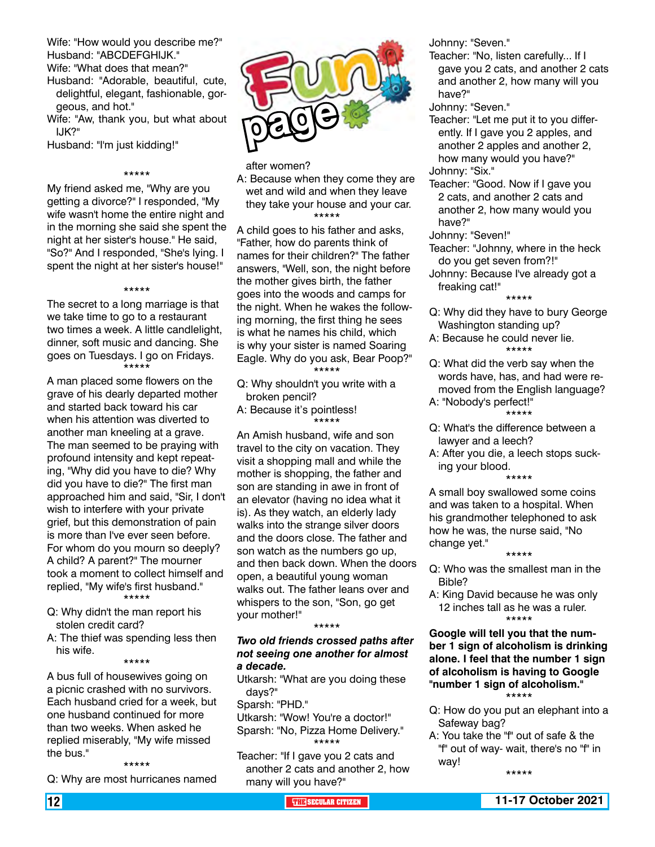Wife: "How would you describe me?" Husband: "ABCDEFGHIJK."

Wife: "What does that mean?"

- Husband: "Adorable, beautiful, cute, delightful, elegant, fashionable, gorgeous, and hot."
- Wife: "Aw, thank you, but what about IJK?"

Husband: "I'm just kidding!"

#### \*\*\*\*\*

My friend asked me, "Why are you getting a divorce?" I responded, "My wife wasn't home the entire night and in the morning she said she spent the night at her sister's house." He said, "So?" And I responded, "She's lying. I spent the night at her sister's house!"

#### \*\*\*\*\*

The secret to a long marriage is that we take time to go to a restaurant two times a week. A little candlelight, dinner, soft music and dancing. She goes on Tuesdays. I go on Fridays. \*\*\*\*\*

A man placed some flowers on the grave of his dearly departed mother and started back toward his car when his attention was diverted to another man kneeling at a grave. The man seemed to be praying with profound intensity and kept repeating, "Why did you have to die? Why did you have to die?" The first man approached him and said, "Sir, I don't wish to interfere with your private grief, but this demonstration of pain is more than I've ever seen before. For whom do you mourn so deeply? A child? A parent?" The mourner took a moment to collect himself and replied, "My wife's first husband." \*\*\*\*\*

- Q: Why didn't the man report his stolen credit card?
- A: The thief was spending less then his wife.

#### \*\*\*\*\*

A bus full of housewives going on a picnic crashed with no survivors. Each husband cried for a week, but one husband continued for more than two weeks. When asked he replied miserably, "My wife missed the bus."

\*\*\*\*\*

Q: Why are most hurricanes named



after women? A: Because when they come they are wet and wild and when they leave they take your house and your car. \*\*\*\*\*

A child goes to his father and asks, "Father, how do parents think of names for their children?" The father answers, "Well, son, the night before the mother gives birth, the father goes into the woods and camps for the night. When he wakes the following morning, the first thing he sees is what he names his child, which is why your sister is named Soaring Eagle. Why do you ask, Bear Poop?" \*\*\*\*\*

- Q: Why shouldn't you write with a broken pencil?
- A: Because it's pointless! \*\*\*\*\*

An Amish husband, wife and son travel to the city on vacation. They visit a shopping mall and while the mother is shopping, the father and son are standing in awe in front of an elevator (having no idea what it is). As they watch, an elderly lady walks into the strange silver doors and the doors close. The father and son watch as the numbers go up, and then back down. When the doors open, a beautiful young woman walks out. The father leans over and whispers to the son, "Son, go get your mother!" \*\*\*\*\*

#### *Two old friends crossed paths after not seeing one another for almost a decade.*

Utkarsh: "What are you doing these days?"

Sparsh: "PHD."

Utkarsh: "Wow! You're a doctor!" Sparsh: "No, Pizza Home Delivery." \*\*\*\*\*

Teacher: "If I gave you 2 cats and another 2 cats and another 2, how many will you have?"

Johnny: "Seven."

- Teacher: "No, listen carefully... If I gave you 2 cats, and another 2 cats and another 2, how many will you have?"
- Johnny: "Seven."
- Teacher: "Let me put it to you differently. If I gave you 2 apples, and another 2 apples and another 2, how many would you have?"
- Johnny: "Six."

Teacher: "Good. Now if I gave you 2 cats, and another 2 cats and another 2, how many would you have?"

Johnny: "Seven!"

- Teacher: "Johnny, where in the heck do you get seven from?!"
- Johnny: Because I've already got a freaking cat!"

\*\*\*\*\*

- Q: Why did they have to bury George Washington standing up?
- A: Because he could never lie. \*\*\*\*\*
- Q: What did the verb say when the words have, has, and had were removed from the English language?
- A: "Nobody's perfect!" \*\*\*\*\*
- Q: What's the difference between a lawyer and a leech?
- A: After you die, a leech stops sucking your blood. \*\*\*\*\*

A small boy swallowed some coins and was taken to a hospital. When his grandmother telephoned to ask how he was, the nurse said, "No change yet." \*\*\*\*\*

- Q: Who was the smallest man in the Bible?
- A: King David because he was only 12 inches tall as he was a ruler. \*\*\*\*\*

#### **Google will tell you that the number 1 sign of alcoholism is drinking alone. I feel that the number 1 sign of alcoholism is having to Google "number 1 sign of alcoholism."** \*\*\*\*\*

- Q: How do you put an elephant into a Safeway bag?
- A: You take the "f" out of safe & the "f" out of way- wait, there's no "f" in way!

\*\*\*\*\*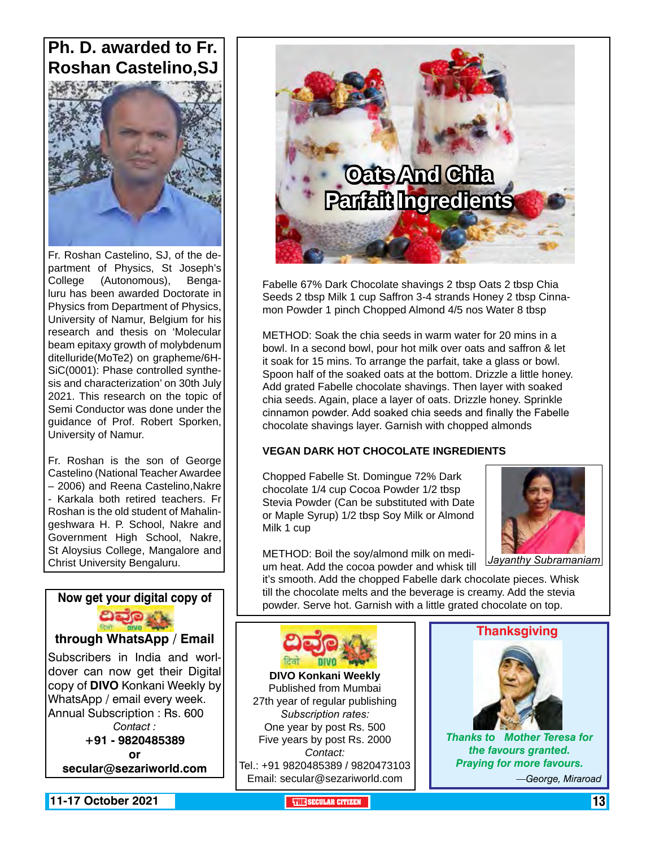### **Ph. D. awarded to Fr. Roshan Castelino,SJ**



Fr. Roshan Castelino, SJ, of the department of Physics, St Joseph's College (Autonomous), Bengaluru has been awarded Doctorate in Physics from Department of Physics, University of Namur, Belgium for his research and thesis on 'Molecular beam epitaxy growth of molybdenum ditelluride(MoTe2) on grapheme/6H-SiC(0001): Phase controlled synthesis and characterization' on 30th July 2021. This research on the topic of Semi Conductor was done under the guidance of Prof. Robert Sporken, University of Namur.

Fr. Roshan is the son of George Castelino (National Teacher Awardee – 2006) and Reena Castelino,Nakre - Karkala both retired teachers. Fr Roshan is the old student of Mahalingeshwara H. P. School, Nakre and Government High School, Nakre, St Aloysius College, Mangalore and

#### **Now get your digital copy of**



**through WhatsApp / Email**

Subscribers in India and worldover can now get their Digital copy of **DIVO** Konkani Weekly by WhatsApp / email every week. Annual Subscription : Rs. 600 *Contact :* **+91 - 9820485389 or secular@sezariworld.com**



Fabelle 67% Dark Chocolate shavings 2 tbsp Oats 2 tbsp Chia Seeds 2 tbsp Milk 1 cup Saffron 3-4 strands Honey 2 tbsp Cinnamon Powder 1 pinch Chopped Almond 4/5 nos Water 8 tbsp

METHOD: Soak the chia seeds in warm water for 20 mins in a bowl. In a second bowl, pour hot milk over oats and saffron & let it soak for 15 mins. To arrange the parfait, take a glass or bowl. Spoon half of the soaked oats at the bottom. Drizzle a little honey. Add grated Fabelle chocolate shavings. Then layer with soaked chia seeds. Again, place a layer of oats. Drizzle honey. Sprinkle cinnamon powder. Add soaked chia seeds and finally the Fabelle chocolate shavings layer. Garnish with chopped almonds

#### **VEGAN DARK HOT CHOCOLATE INGREDIENTS**

Chopped Fabelle St. Domingue 72% Dark chocolate 1/4 cup Cocoa Powder 1/2 tbsp Stevia Powder (Can be substituted with Date or Maple Syrup) 1/2 tbsp Soy Milk or Almond Milk 1 cup



METHOD: Boil the soy/almond milk on medium heat. Add the cocoa powder and whisk till Christ University Bengaluru. *Jayanthy Subramaniam*

it's smooth. Add the chopped Fabelle dark chocolate pieces. Whisk till the chocolate melts and the beverage is creamy. Add the stevia

powder. Serve hot. Garnish with a little grated chocolate on top.



**DIVO Konkani Weekly** Published from Mumbai 27th year of regular publishing *Subscription rates:* One year by post Rs. 500 Five years by post Rs. 2000 *Contact:*  Tel.: +91 9820485389 / 9820473103 Email: secular@sezariworld.com

#### **Thanksgiving**



*Thanks to Mother Teresa for the favours granted. Praying for more favours.*

*—George, Miraroad*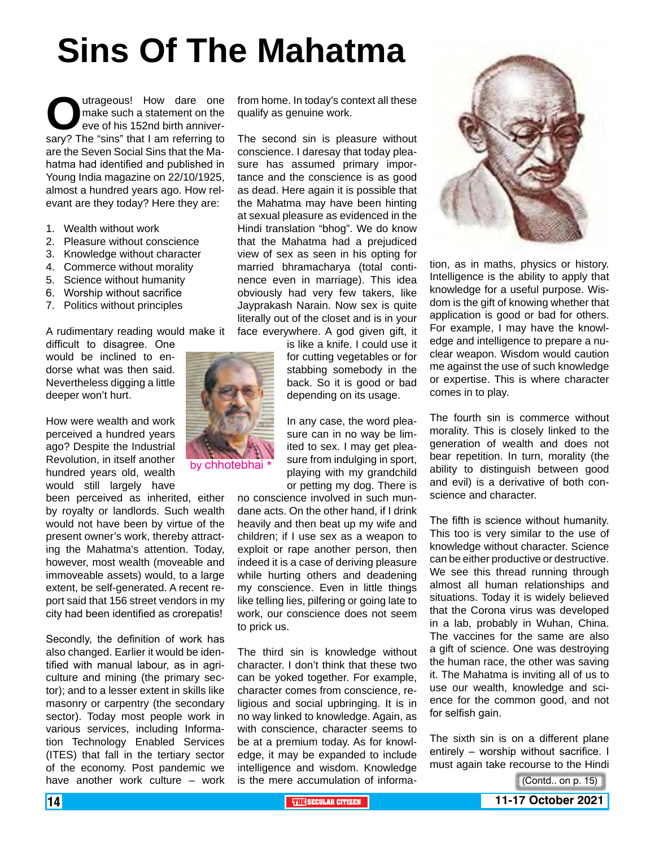# **Sins Of The Mahatma**

**O**utrageous! How dare one make such a statement on the eve of his 152nd birth anniversary? The "sins" that I am referring to make such a statement on the eve of his 152nd birth anniverare the Seven Social Sins that the Mahatma had identified and published in Young India magazine on 22/10/1925, almost a hundred years ago. How relevant are they today? Here they are:

- 1. Wealth without work
- 2. Pleasure without conscience
- 3. Knowledge without character
- 4. Commerce without morality
- 5. Science without humanity
- 6. Worship without sacrifice
- 7. Politics without principles

A rudimentary reading would make it

difficult to disagree. One would be inclined to endorse what was then said. Nevertheless digging a little deeper won't hurt.

How were wealth and work perceived a hundred years ago? Despite the Industrial Revolution, in itself another hundred years old, wealth would still largely have

been perceived as inherited, either by royalty or landlords. Such wealth would not have been by virtue of the present owner's work, thereby attracting the Mahatma's attention. Today, however, most wealth (moveable and immoveable assets) would, to a large extent, be self-generated. A recent report said that 156 street vendors in my city had been identified as crorepatis!

Secondly, the definition of work has also changed. Earlier it would be identified with manual labour, as in agriculture and mining (the primary sector); and to a lesser extent in skills like masonry or carpentry (the secondary sector). Today most people work in various services, including Information Technology Enabled Services (ITES) that fall in the tertiary sector of the economy. Post pandemic we have another work culture – work from home. In today's context all these qualify as genuine work.

The second sin is pleasure without conscience. I daresay that today pleasure has assumed primary importance and the conscience is as good as dead. Here again it is possible that the Mahatma may have been hinting at sexual pleasure as evidenced in the Hindi translation "bhog". We do know that the Mahatma had a prejudiced view of sex as seen in his opting for married bhramacharya (total continence even in marriage). This idea obviously had very few takers, like Jayprakash Narain. Now sex is quite literally out of the closet and is in your face everywhere. A god given gift, it

> is like a knife. I could use it for cutting vegetables or for stabbing somebody in the back. So it is good or bad depending on its usage.

> In any case, the word pleasure can in no way be limited to sex. I may get pleasure from indulging in sport, playing with my grandchild or petting my dog. There is

no conscience involved in such mundane acts. On the other hand, if I drink heavily and then beat up my wife and children; if I use sex as a weapon to exploit or rape another person, then indeed it is a case of deriving pleasure while hurting others and deadening my conscience. Even in little things like telling lies, pilfering or going late to work, our conscience does not seem to prick us.

The third sin is knowledge without character. I don't think that these two can be yoked together. For example, character comes from conscience, religious and social upbringing. It is in no way linked to knowledge. Again, as with conscience, character seems to be at a premium today. As for knowledge, it may be expanded to include intelligence and wisdom. Knowledge is the mere accumulation of informa-



tion, as in maths, physics or history. Intelligence is the ability to apply that knowledge for a useful purpose. Wisdom is the gift of knowing whether that application is good or bad for others. For example, I may have the knowledge and intelligence to prepare a nuclear weapon. Wisdom would caution me against the use of such knowledge or expertise. This is where character comes in to play.

The fourth sin is commerce without morality. This is closely linked to the generation of wealth and does not bear repetition. In turn, morality (the ability to distinguish between good and evil) is a derivative of both conscience and character.

The fifth is science without humanity. This too is very similar to the use of knowledge without character. Science can be either productive or destructive. We see this thread running through almost all human relationships and situations. Today it is widely believed that the Corona virus was developed in a lab, probably in Wuhan, China. The vaccines for the same are also a gift of science. One was destroying the human race, the other was saving it. The Mahatma is inviting all of us to use our wealth, knowledge and science for the common good, and not for selfish gain.

The sixth sin is on a different plane entirely – worship without sacrifice. I must again take recourse to the Hindi

(Contd.. on p. 15)



by chhotebhai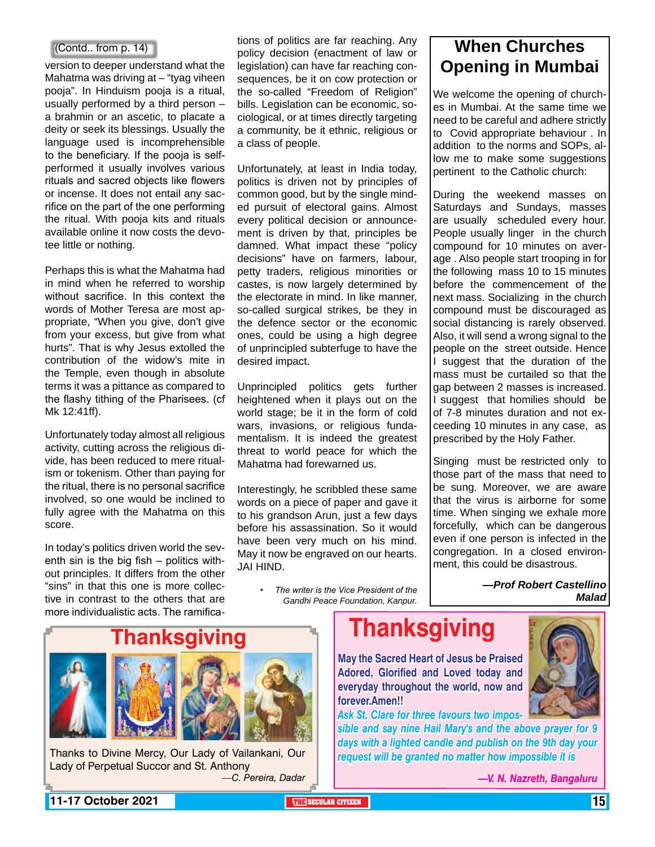#### (Contd.. from p. 14)

version to deeper understand what the Mahatma was driving at – "tyag viheen" pooja". In Hinduism pooja is a ritual, usually performed by a third person – a brahmin or an ascetic, to placate a deity or seek its blessings. Usually the language used is incomprehensible to the beneficiary. If the pooja is selfperformed it usually involves various rituals and sacred objects like flowers or incense. It does not entail any sacrifice on the part of the one performing the ritual. With pooja kits and rituals available online it now costs the devotee little or nothing.

Perhaps this is what the Mahatma had in mind when he referred to worship without sacrifice. In this context the words of Mother Teresa are most appropriate, "When you give, don't give from your excess, but give from what hurts". That is why Jesus extolled the contribution of the widow's mite in the Temple, even though in absolute terms it was a pittance as compared to the flashy tithing of the Pharisees. (cf Mk 12:41ff).

Unfortunately today almost all religious activity, cutting across the religious divide, has been reduced to mere ritualism or tokenism. Other than paying for the ritual, there is no personal sacrifice involved, so one would be inclined to fully agree with the Mahatma on this score.

In today's politics driven world the seventh sin is the big fish – politics without principles. It differs from the other "sins" in that this one is more collective in contrast to the others that are more individualistic acts. The ramifica-

tions of politics are far reaching. Any policy decision (enactment of law or legislation) can have far reaching consequences, be it on cow protection or the so-called "Freedom of Religion" bills. Legislation can be economic, sociological, or at times directly targeting a community, be it ethnic, religious or a class of people.

Unfortunately, at least in India today, politics is driven not by principles of common good, but by the single minded pursuit of electoral gains. Almost every political decision or announcement is driven by that, principles be damned. What impact these "policy decisions" have on farmers, labour, petty traders, religious minorities or castes, is now largely determined by the electorate in mind. In like manner, so-called surgical strikes, be they in the defence sector or the economic ones, could be using a high degree of unprincipled subterfuge to have the desired impact.

Unprincipled politics gets further heightened when it plays out on the world stage; be it in the form of cold wars, invasions, or religious fundamentalism. It is indeed the greatest threat to world peace for which the Mahatma had forewarned us.

Interestingly, he scribbled these same words on a piece of paper and gave it to his grandson Arun, just a few days before his assassination. So it would have been very much on his mind. May it now be engraved on our hearts. JAI HIND.

**When Churches Opening in Mumbai**

We welcome the opening of churches in Mumbai. At the same time we need to be careful and adhere strictly to Covid appropriate behaviour . In addition to the norms and SOPs, allow me to make some suggestions pertinent to the Catholic church:

During the weekend masses on Saturdays and Sundays, masses are usually scheduled every hour. People usually linger in the church compound for 10 minutes on average . Also people start trooping in for the following mass 10 to 15 minutes before the commencement of the next mass. Socializing in the church compound must be discouraged as social distancing is rarely observed. Also, it will send a wrong signal to the people on the street outside. Hence I suggest that the duration of the mass must be curtailed so that the gap between 2 masses is increased. I suggest that homilies should be of 7-8 minutes duration and not exceeding 10 minutes in any case, as prescribed by the Holy Father.

Singing must be restricted only to those part of the mass that need to be sung. Moreover, we are aware that the virus is airborne for some time. When singing we exhale more forcefully, which can be dangerous even if one person is infected in the congregation. In a closed environment, this could be disastrous.

> *—Prof Robert Castellino Malad*

*• The writer is the Vice President of the Gandhi Peace Foundation, Kanpur.* 



Thanks to Divine Mercy, Our Lady of Vailankani, Our Lady of Perpetual Succor and St. Anthony *—C. Pereira, Dadar* **Thanksgiving**

**May the Sacred Heart of Jesus be Praised Adored, Glorified and Loved today and everyday throughout the world, now and forever.Amen!!**

*Ask St. Clare for three favours two impos-*

*sible and say nine Hail Mary's and the above prayer for 9 days with a lighted candle and publish on the 9th day your request will be granted no matter how impossible it is*



*—V. N. Nazreth, Bangaluru*

**11-17 October 2021 The Secular Citizen 15 and 2021 THE SECULAR CITIZEN THE THE THE THE THE THE**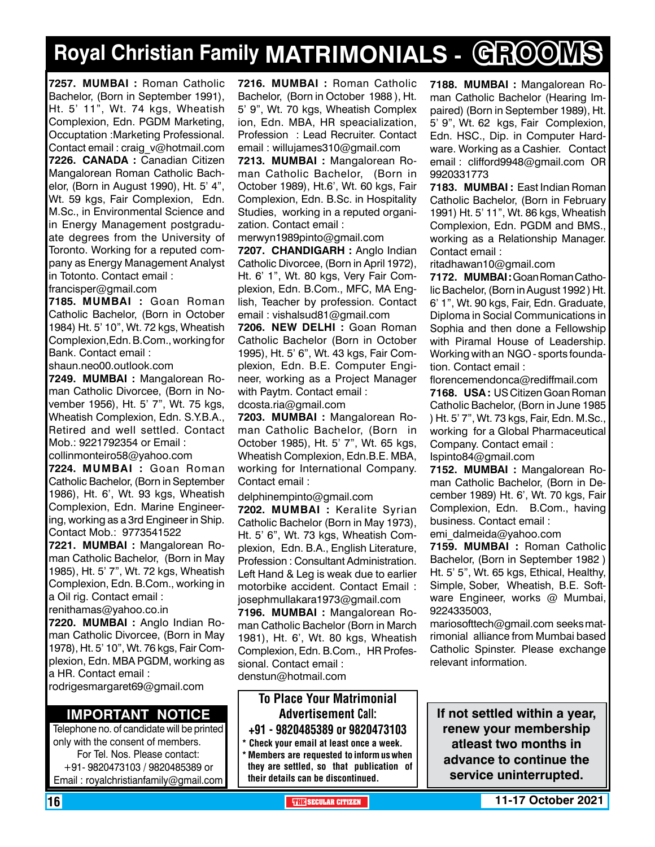# **Royal Christian Family MATRIMONIALS - GROOMS**

**7257. MUMBAI :** Roman Catholic Bachelor, (Born in September 1991), Ht. 5' 11", Wt. 74 kgs, Wheatish Complexion, Edn. PGDM Marketing, Occuptation :Marketing Professional. Contact email : craig\_v@hotmail.com **7226. CANADA :** Canadian Citizen Mangalorean Roman Catholic Bachelor, (Born in August 1990), Ht. 5' 4", Wt. 59 kgs, Fair Complexion, Edn. M.Sc., in Environmental Science and in Energy Management postgraduate degrees from the University of Toronto. Working for a reputed company as Energy Management Analyst in Totonto. Contact email :

francisper@gmail.com

**7185. MUMBAI :** Goan Roman Catholic Bachelor, (Born in October 1984) Ht. 5' 10", Wt. 72 kgs, Wheatish Complexion,Edn. B.Com., working for Bank. Contact email :

shaun.neo00.outlook.com

**7249. MUMBAI :** Mangalorean Roman Catholic Divorcee, (Born in November 1956), Ht. 5' 7", Wt. 75 kgs, Wheatish Complexion, Edn. S.Y.B.A., Retired and well settled. Contact Mob.: 9221792354 or Email : collinmonteiro58@yahoo.com

**7224. MUMBAI :** Goan Roman Catholic Bachelor, (Born in September 1986), Ht. 6', Wt. 93 kgs, Wheatish Complexion, Edn. Marine Engineering, working as a 3rd Engineer in Ship. Contact Mob.: 9773541522

**7221. MUMBAI :** Mangalorean Roman Catholic Bachelor, (Born in May 1985), Ht. 5' 7", Wt. 72 kgs, Wheatish Complexion, Edn. B.Com., working in a Oil rig. Contact email :

renithamas@yahoo.co.in

**7220. MUMBAI :** Anglo Indian Roman Catholic Divorcee, (Born in May 1978), Ht. 5' 10", Wt. 76 kgs, Fair Complexion, Edn. MBA PGDM, working as a HR. Contact email :

rodrigesmargaret69@gmail.com

#### **Important Notice**

Telephone no. of candidate will be printed only with the consent of members. For Tel. Nos. Please contact: +91- 9820473103 / 9820485389 or Email : royalchristianfamily@gmail.com

**7216. MUMBAI :** Roman Catholic Bachelor, (Born in October 1988 ), Ht. 5' 9", Wt. 70 kgs, Wheatish Complex ion, Edn. MBA, HR speacialization, Profession : Lead Recruiter. Contact email : willujames310@gmail.com

**7213. MUMBAI :** Mangalorean Roman Catholic Bachelor, (Born in October 1989), Ht.6', Wt. 60 kgs, Fair Complexion, Edn. B.Sc. in Hospitality Studies, working in a reputed organization. Contact email :

merwyn1989pinto@gmail.com

**7207. Chandigarh :** Anglo Indian Catholic Divorcee, (Born in April 1972), Ht. 6' 1", Wt. 80 kgs, Very Fair Complexion, Edn. B.Com., MFC, MA English, Teacher by profession. Contact email : vishalsud81@gmail.com

**7206. new delhi :** Goan Roman Catholic Bachelor (Born in October 1995), Ht. 5' 6", Wt. 43 kgs, Fair Complexion, Edn. B.E. Computer Engineer, working as a Project Manager with Paytm. Contact email :

dcosta.ria@gmail.com

**7203. MUMBAI :** Mangalorean Roman Catholic Bachelor, (Born in October 1985), Ht. 5' 7", Wt. 65 kgs, Wheatish Complexion, Edn.B.E. MBA, working for International Company. Contact email :

delphinempinto@gmail.com

**7202. MUMBAI :** Keralite Syrian Catholic Bachelor (Born in May 1973), Ht. 5' 6", Wt. 73 kgs, Wheatish Complexion, Edn. B.A., English Literature, Profession : Consultant Administration. Left Hand & Leg is weak due to earlier motorbike accident. Contact Email : josephmullakara1973@gmail.com

**7196. MUMBAI :** Mangalorean Roman Catholic Bachelor (Born in March 1981), Ht. 6', Wt. 80 kgs, Wheatish Complexion, Edn. B.Com., HR Professional. Contact email : denstun@hotmail.com

To Place Your Matrimonial Advertisement Call: +91 - 9820485389 or 9820473103 \* Check your email at least once a week.

\* Members are requested to inform us when they are settled, so that publication of their details can be discontinued.

**7188. MUMBAI :** Mangalorean Roman Catholic Bachelor (Hearing Impaired) (Born in September 1989), Ht. 5' 9", Wt. 62 kgs, Fair Complexion, Edn. HSC., Dip. in Computer Hardware. Working as a Cashier. Contact email : clifford9948@gmail.com OR 9920331773

**7183. MUMBAI :** East Indian Roman Catholic Bachelor, (Born in February 1991) Ht. 5' 11", Wt. 86 kgs, Wheatish Complexion, Edn. PGDM and BMS., working as a Relationship Manager. Contact email :

ritadhawan10@gmail.com

**7172. MUMBAI :** Goan Roman Catholic Bachelor, (Born in August 1992 ) Ht. 6' 1", Wt. 90 kgs, Fair, Edn. Graduate, Diploma in Social Communications in Sophia and then done a Fellowship with Piramal House of Leadership. Working with an NGO - sports foundation. Contact email :

florencemendonca@rediffmail.com **7168. USA :** US Citizen Goan Roman Catholic Bachelor, (Born in June 1985 ) Ht. 5' 7", Wt. 73 kgs, Fair, Edn. M.Sc., working for a Global Pharmaceutical Company. Contact email : Ispinto84@gmail.com

**7152. MUMBAI :** Mangalorean Roman Catholic Bachelor, (Born in December 1989) Ht. 6', Wt. 70 kgs, Fair Complexion, Edn. B.Com., having business. Contact email :

emi\_dalmeida@yahoo.com

**7159. MUMBAI :** Roman Catholic Bachelor, (Born in September 1982 ) Ht. 5' 5", Wt. 65 kgs, Ethical, Healthy, Simple, Sober, Wheatish, B.E. Software Engineer, works @ Mumbai, 9224335003,

mariosofttech@gmail.com seeks matrimonial alliance from Mumbai based Catholic Spinster. Please exchange relevant information.

**If not settled within a year, renew your membership atleast two months in advance to continue the service uninterrupted.**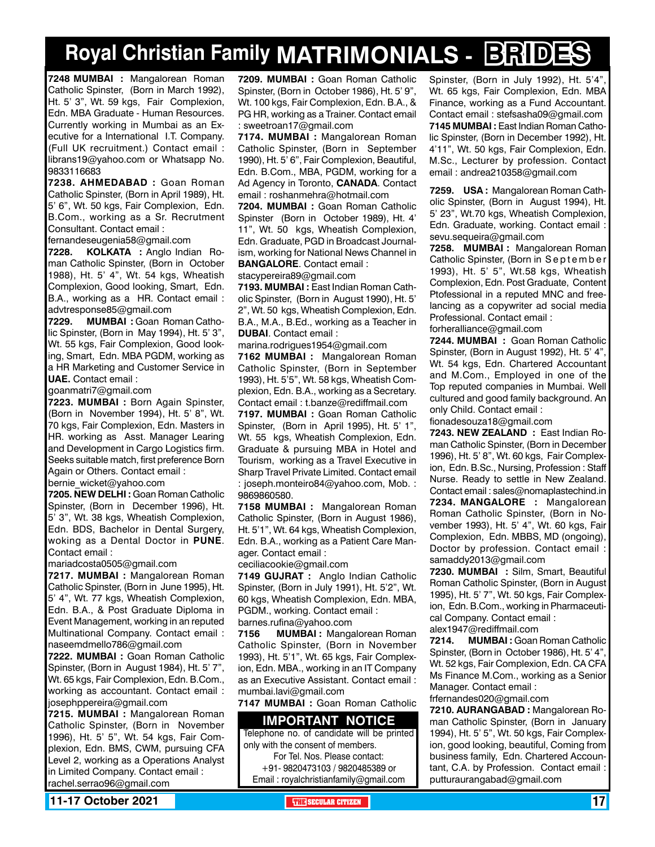# **Royal Christian Family MATRIMONIALS - BRIDES**

**7248 MUMBAI :** Mangalorean Roman Catholic Spinster, (Born in March 1992), Ht. 5' 3", Wt. 59 kgs, Fair Complexion, Edn. MBA Graduate - Human Resources. Currently working in Mumbai as an Executive for a International I.T. Company. (Full UK recruitment.) Contact email : librans19@yahoo.com or Whatsapp No. 9833116683

**7238. AHMEDABAD :** Goan Roman Catholic Spinster, (Born in April 1989), Ht. 5' 6", Wt. 50 kgs, Fair Complexion, Edn. B.Com., working as a Sr. Recrutment Consultant. Contact email :

fernandeseugenia58@gmail.com

**7228. KOLKATA :** Anglo Indian Roman Catholic Spinster, (Born in October 1988), Ht. 5' 4", Wt. 54 kgs, Wheatish Complexion, Good looking, Smart, Edn. B.A., working as a HR. Contact email : advtresponse85@gmail.com

**7229. MUMBAI :** Goan Roman Catholic Spinster, (Born in May 1994), Ht. 5' 3", Wt. 55 kgs, Fair Complexion, Good looking, Smart, Edn. MBA PGDM, working as a HR Marketing and Customer Service in **UAE.** Contact email :

goanmatri7@gmail.com

**7223. MUMBAI :** Born Again Spinster, (Born in November 1994), Ht. 5' 8", Wt. 70 kgs, Fair Complexion, Edn. Masters in HR. working as Asst. Manager Learing and Development in Cargo Logistics firm. Seeks suitable match, first preference Born Again or Others. Contact email :

bernie wicket@yahoo.com

**7205. NEW DELHI :** Goan Roman Catholic Spinster, (Born in December 1996), Ht. 5' 3", Wt. 38 kgs, Wheatish Complexion, Edn. BDS, Bachelor in Dental Surgery, woking as a Dental Doctor in **PUNE**. Contact email :

mariadcosta0505@gmail.com

**7217. MUMBAI :** Mangalorean Roman Catholic Spinster, (Born in June 1995), Ht. 5' 4", Wt. 77 kgs, Wheatish Complexion, Edn. B.A., & Post Graduate Diploma in Event Management, working in an reputed Multinational Company. Contact email : naseemdmello786@gmail.com

**7222. MUMBAI :** Goan Roman Catholic Spinster, (Born in August 1984), Ht. 5' 7", Wt. 65 kgs, Fair Complexion, Edn. B.Com., working as accountant. Contact email : josephppereira@gmail.com

**7215. MUMBAI :** Mangalorean Roman Catholic Spinster, (Born in November 1996), Ht. 5' 5", Wt. 54 kgs, Fair Complexion, Edn. BMS, CWM, pursuing CFA Level 2, working as a Operations Analyst in Limited Company. Contact email : rachel.serrao96@gmail.com

**7209. MUMBAI :** Goan Roman Catholic Spinster, (Born in October 1986), Ht. 5' 9", Wt. 100 kgs, Fair Complexion, Edn. B.A., & PG HR, working as a Trainer. Contact email : sweetroan17@gmail.com

**7174. MUMBAI :** Mangalorean Roman Catholic Spinster, (Born in September 1990), Ht. 5' 6", Fair Complexion, Beautiful, Edn. B.Com., MBA, PGDM, working for a Ad Agency in Toronto, **Canada**. Contact email : roshanmehra@hotmail.com

**7204. MUMBAI :** Goan Roman Catholic Spinster (Born in October 1989), Ht. 4' 11", Wt. 50 kgs, Wheatish Complexion, Edn. Graduate, PGD in Broadcast Journalism, working for National News Channel in **Bangalore**. Contact email :

stacypereira89@gmail.com

**7193. MUMBAI :** East Indian Roman Catholic Spinster, (Born in August 1990), Ht. 5' 2", Wt. 50 kgs, Wheatish Complexion, Edn. B.A., M.A., B.Ed., working as a Teacher in **Dubai**. Contact email :

marina.rodrigues1954@gmail.com

**7162 MUMBAI :** Mangalorean Roman Catholic Spinster, (Born in September 1993), Ht. 5'5", Wt. 58 kgs, Wheatish Complexion, Edn. B.A., working as a Secretary. Contact email : t.banze@rediffmail.com

**7197. MUMBAI :** Goan Roman Catholic Spinster, (Born in April 1995), Ht. 5' 1", Wt. 55 kgs, Wheatish Complexion, Edn. Graduate & pursuing MBA in Hotel and Tourism, working as a Travel Executive in Sharp Travel Private Limited. Contact email : joseph.monteiro84@yahoo.com, Mob. : 9869860580.

**7158 MUMBAI :** Mangalorean Roman Catholic Spinster, (Born in August 1986), Ht. 5'1", Wt. 64 kgs, Wheatish Complexion, Edn. B.A., working as a Patient Care Manager. Contact email :

ceciliacookie@gmail.com

**7149 GUJRAT :** Anglo Indian Catholic Spinster, (Born in July 1991), Ht. 5'2", Wt. 60 kgs, Wheatish Complexion, Edn. MBA, PGDM., working. Contact email :

barnes.rufina@yahoo.com

**7156 MUMBAI :** Mangalorean Roman Catholic Spinster, (Born in November 1993), Ht. 5'1", Wt. 65 kgs, Fair Complexion, Edn. MBA., working in an IT Company as an Executive Assistant. Contact email : mumbai.lavi@gmail.com

**7147 MUMBAI :** Goan Roman Catholic

#### **Important Notice**

Telephone no. of candidate will be printed only with the consent of members.

For Tel. Nos. Please contact: +91- 9820473103 / 9820485389 or Email : royalchristianfamily@gmail.com

Spinster, (Born in July 1992), Ht. 5'4" Wt. 65 kgs, Fair Complexion, Edn. MBA Finance, working as a Fund Accountant. Contact email : stefsasha09@gmail.com **7145 MUMBAI :** East Indian Roman Catholic Spinster, (Born in December 1992), Ht. 4'11", Wt. 50 kgs, Fair Complexion, Edn. M.Sc., Lecturer by profession. Contact email : andrea210358@gmail.com

**7259. USA :** Mangalorean Roman Catholic Spinster, (Born in August 1994), Ht. 5' 23", Wt.70 kgs, Wheatish Complexion, Edn. Graduate, working. Contact email : sevu.sequeira@gmail.com

**7258. MUMBAI :** Mangalorean Roman Catholic Spinster, (Born in S e p t e m b e r 1993), Ht. 5' 5", Wt.58 kgs, Wheatish Complexion, Edn. Post Graduate, Content Ptofessional in a reputed MNC and freelancing as a copywriter ad social media Professional. Contact email : forheralliance@gmail.com

**7244. MUMBAI :** Goan Roman Catholic Spinster, (Born in August 1992), Ht. 5' 4", Wt. 54 kgs, Edn. Chartered Accountant and M.Com., Employed in one of the Top reputed companies in Mumbai. Well cultured and good family background. An only Child. Contact email :

fionadesouza18@gmail.com

**7243. NEW ZEALAND :** East Indian Roman Catholic Spinster, (Born in December 1996), Ht. 5' 8", Wt. 60 kgs, Fair Complexion, Edn. B.Sc., Nursing, Profession : Staff Nurse. Ready to settle in New Zealand. Contact email : sales@nomaplastechind.in **7234. MANGALORE :** Mangalorean Roman Catholic Spinster, (Born in November 1993), Ht. 5' 4", Wt. 60 kgs, Fair Complexion, Edn. MBBS, MD (ongoing), Doctor by profession. Contact email : samaddy2013@gmail.com

**7230. MUMBAI :** Silm, Smart, Beautiful Roman Catholic Spinster, (Born in August 1995), Ht. 5' 7", Wt. 50 kgs, Fair Complexion, Edn. B.Com., working in Pharmaceutical Company. Contact email : alex1947@rediffmail.com

**7214. MUMBAI :** Goan Roman Catholic Spinster, (Born in October 1986), Ht. 5' 4", Wt. 52 kgs, Fair Complexion, Edn. CA CFA Ms Finance M.Com., working as a Senior Manager. Contact email : frfernandes020@gmail.com

**7210. AURANGABAD :** Mangalorean Roman Catholic Spinster, (Born in January 1994), Ht. 5' 5", Wt. 50 kgs, Fair Complexion, good looking, beautiful, Coming from business family, Edn. Chartered Accountant, C.A. by Profession. Contact email : putturaurangabad@gmail.com

**11-17 October 2021 The City of the Secular Citizen 17 and 2012 17 and 2013 17 and 2014 17 and 2014 17 and 2014**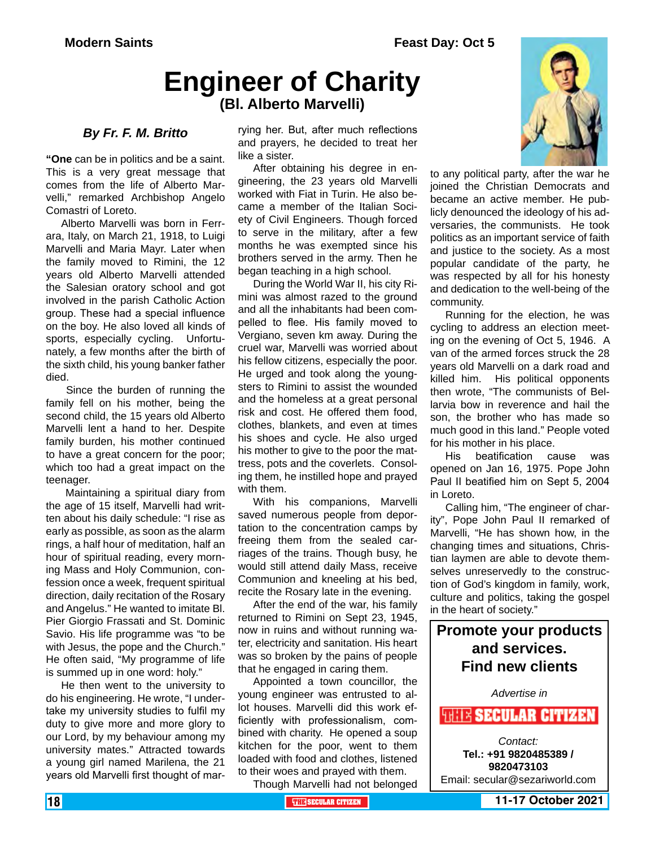## **Engineer of Charity (Bl. Alberto Marvelli)**

#### *By Fr. F. M. Britto*

**"One** can be in politics and be a saint. This is a very great message that comes from the life of Alberto Marvelli," remarked Archbishop Angelo Comastri of Loreto.

Alberto Marvelli was born in Ferrara, Italy, on March 21, 1918, to Luigi Marvelli and Maria Mayr. Later when the family moved to Rimini, the 12 years old Alberto Marvelli attended the Salesian oratory school and got involved in the parish Catholic Action group. These had a special influence on the boy. He also loved all kinds of sports, especially cycling. Unfortunately, a few months after the birth of the sixth child, his young banker father died.

 Since the burden of running the family fell on his mother, being the second child, the 15 years old Alberto Marvelli lent a hand to her. Despite family burden, his mother continued to have a great concern for the poor; which too had a great impact on the teenager.

 Maintaining a spiritual diary from the age of 15 itself, Marvelli had written about his daily schedule: "I rise as early as possible, as soon as the alarm rings, a half hour of meditation, half an hour of spiritual reading, every morning Mass and Holy Communion, confession once a week, frequent spiritual direction, daily recitation of the Rosary and Angelus." He wanted to imitate Bl. Pier Giorgio Frassati and St. Dominic Savio. His life programme was "to be with Jesus, the pope and the Church." He often said, "My programme of life is summed up in one word: holy."

He then went to the university to do his engineering. He wrote, "I undertake my university studies to fulfil my duty to give more and more glory to our Lord, by my behaviour among my university mates." Attracted towards a young girl named Marilena, the 21 years old Marvelli first thought of marrying her. But, after much reflections and prayers, he decided to treat her like a sister.

After obtaining his degree in engineering, the 23 years old Marvelli worked with Fiat in Turin. He also became a member of the Italian Society of Civil Engineers. Though forced to serve in the military, after a few months he was exempted since his brothers served in the army. Then he began teaching in a high school.

During the World War II, his city Rimini was almost razed to the ground and all the inhabitants had been compelled to flee. His family moved to Vergiano, seven km away. During the cruel war, Marvelli was worried about his fellow citizens, especially the poor. He urged and took along the youngsters to Rimini to assist the wounded and the homeless at a great personal risk and cost. He offered them food, clothes, blankets, and even at times his shoes and cycle. He also urged his mother to give to the poor the mattress, pots and the coverlets. Consoling them, he instilled hope and prayed with them.

With his companions, Marvelli saved numerous people from deportation to the concentration camps by freeing them from the sealed carriages of the trains. Though busy, he would still attend daily Mass, receive Communion and kneeling at his bed, recite the Rosary late in the evening.

After the end of the war, his family returned to Rimini on Sept 23, 1945, now in ruins and without running water, electricity and sanitation. His heart was so broken by the pains of people that he engaged in caring them.

Appointed a town councillor, the young engineer was entrusted to allot houses. Marvelli did this work efficiently with professionalism, combined with charity. He opened a soup kitchen for the poor, went to them loaded with food and clothes, listened to their woes and prayed with them.

Though Marvelli had not belonged

to any political party, after the war he joined the Christian Democrats and became an active member. He publicly denounced the ideology of his adversaries, the communists. He took politics as an important service of faith and justice to the society. As a most popular candidate of the party, he was respected by all for his honesty and dedication to the well-being of the community.

Running for the election, he was cycling to address an election meeting on the evening of Oct 5, 1946. A van of the armed forces struck the 28 years old Marvelli on a dark road and killed him. His political opponents then wrote, "The communists of Bellarvia bow in reverence and hail the son, the brother who has made so much good in this land." People voted for his mother in his place.

His beatification cause was opened on Jan 16, 1975. Pope John Paul II beatified him on Sept 5, 2004 in Loreto.

Calling him, "The engineer of charity", Pope John Paul II remarked of Marvelli, "He has shown how, in the changing times and situations, Christian laymen are able to devote themselves unreservedly to the construction of God's kingdom in family, work, culture and politics, taking the gospel in the heart of society."

### **Promote your products and services. Find new clients**

*Advertise in*

*SHITE SECULAR CITIZEN* 

*Contact:* **Tel.: +91 9820485389 / 9820473103** Email: secular@sezariworld.com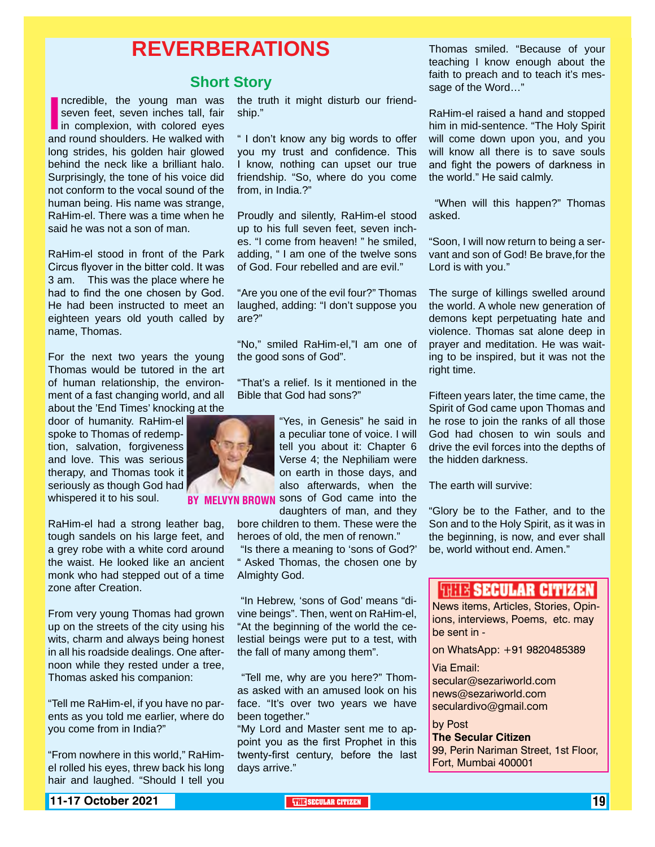### **REVERBERATIONS**

#### **Short Story**

Incredible, the young man was<br>
seven feet, seven inches tall, fair<br>
in complexion, with colored eyes<br>
and round shoulders. He walked with ncredible, the young man was seven feet, seven inches tall, fair in complexion, with colored eyes long strides, his golden hair glowed behind the neck like a brilliant halo. Surprisingly, the tone of his voice did not conform to the vocal sound of the human being. His name was strange, RaHim-el. There was a time when he said he was not a son of man.

RaHim-el stood in front of the Park Circus flyover in the bitter cold. It was 3 am. This was the place where he had to find the one chosen by God. He had been instructed to meet an eighteen years old youth called by name, Thomas.

For the next two years the young Thomas would be tutored in the art of human relationship, the environment of a fast changing world, and all about the 'End Times' knocking at the

door of humanity. RaHim-el spoke to Thomas of redemption, salvation, forgiveness and love. This was serious therapy, and Thomas took it seriously as though God had whispered it to his soul.

RaHim-el had a strong leather bag, tough sandels on his large feet, and a grey robe with a white cord around the waist. He looked like an ancient monk who had stepped out of a time zone after Creation.

From very young Thomas had grown up on the streets of the city using his wits, charm and always being honest in all his roadside dealings. One afternoon while they rested under a tree, Thomas asked his companion:

"Tell me RaHim-el, if you have no parents as you told me earlier, where do you come from in India?"

"From nowhere in this world," RaHimel rolled his eyes, threw back his long hair and laughed. "Should I tell you

the truth it might disturb our friendship."

" I don't know any big words to offer you my trust and confidence. This I know, nothing can upset our true friendship. "So, where do you come from, in India.?"

Proudly and silently, RaHim-el stood up to his full seven feet, seven inches. "I come from heaven! " he smiled, adding, " I am one of the twelve sons of God. Four rebelled and are evil."

"Are you one of the evil four?" Thomas laughed, adding: "I don't suppose you are?"

"No," smiled RaHim-el,"I am one of the good sons of God".

"That's a relief. Is it mentioned in the Bible that God had sons?"

"Yes, in Genesis" he said in a peculiar tone of voice. I will tell you about it: Chapter 6 Verse 4; the Nephiliam were on earth in those days, and also afterwards, when the **RROWN** SONS of God came into the

daughters of man, and they

bore children to them. These were the heroes of old, the men of renown."

 "Is there a meaning to 'sons of God?' " Asked Thomas, the chosen one by Almighty God.

 "In Hebrew, 'sons of God' means "divine beings". Then, went on RaHim-el, "At the beginning of the world the celestial beings were put to a test, with the fall of many among them".

 "Tell me, why are you here?" Thomas asked with an amused look on his face. "It's over two years we have been together."

"My Lord and Master sent me to appoint you as the first Prophet in this twenty-first century, before the last days arrive."

Thomas smiled. "Because of your teaching I know enough about the faith to preach and to teach it's message of the Word…"

RaHim-el raised a hand and stopped him in mid-sentence. "The Holy Spirit will come down upon you, and you will know all there is to save souls and fight the powers of darkness in the world." He said calmly.

 "When will this happen?" Thomas asked.

"Soon, I will now return to being a servant and son of God! Be brave,for the Lord is with you."

The surge of killings swelled around the world. A whole new generation of demons kept perpetuating hate and violence. Thomas sat alone deep in prayer and meditation. He was waiting to be inspired, but it was not the right time.

Fifteen years later, the time came, the Spirit of God came upon Thomas and he rose to join the ranks of all those God had chosen to win souls and drive the evil forces into the depths of the hidden darkness.

The earth will survive:

"Glory be to the Father, and to the Son and to the Holy Spirit, as it was in the beginning, is now, and ever shall be, world without end. Amen."

#### **THEIR SECULAR CITIZEN**

News items, Articles, Stories, Opinions, interviews, Poems, etc. may be sent in -

on WhatsApp: +91 9820485389

Via Email: secular@sezariworld.com news@sezariworld.com seculardivo@gmail.com

by Post **The Secular Citizen** 99, Perin Nariman Street, 1st Floor, Fort, Mumbai 400001